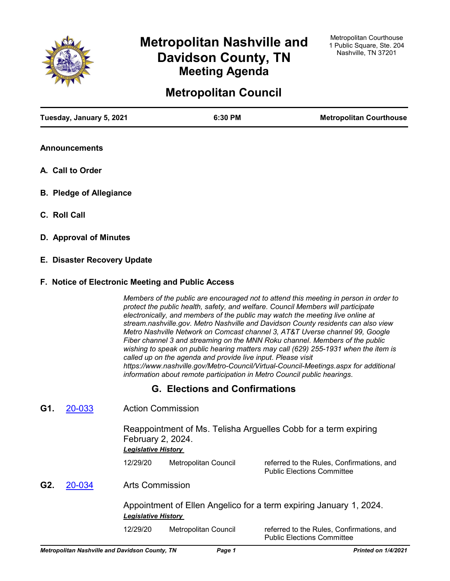

# **Metropolitan Nashville and Davidson County, TN Meeting Agenda**

# **Metropolitan Council**

| Tuesday, January 5, 2021 | 6:30 PM | <b>Metropolitan Courthouse</b> |
|--------------------------|---------|--------------------------------|
|                          |         |                                |

- **Announcements**
- **A. Call to Order**
- **B. Pledge of Allegiance**
- **C. Roll Call**
- **D. Approval of Minutes**
- **E. Disaster Recovery Update**

#### **F. Notice of Electronic Meeting and Public Access**

*Members of the public are encouraged not to attend this meeting in person in order to protect the public health, safety, and welfare. Council Members will participate electronically, and members of the public may watch the meeting live online at stream.nashville.gov. Metro Nashville and Davidson County residents can also view Metro Nashville Network on Comcast channel 3, AT&T Uverse channel 99, Google Fiber channel 3 and streaming on the MNN Roku channel. Members of the public wishing to speak on public hearing matters may call (629) 255-1931 when the item is called up on the agenda and provide live input. Please visit https://www.nashville.gov/Metro-Council/Virtual-Council-Meetings.aspx for additional information about remote participation in Metro Council public hearings.*

## **G. Elections and Confirmations**

Action Commission **G1.** [20-033](http://nashville.legistar.com/gateway.aspx?m=l&id=/matter.aspx?key=1754)

> Reappointment of Ms. Telisha Arguelles Cobb for a term expiring February 2, 2024. *Legislative History*

12/29/20 Metropolitan Council referred to the Rules, Confirmations, and Public Elections Committee

Arts Commission **G2.** [20-034](http://nashville.legistar.com/gateway.aspx?m=l&id=/matter.aspx?key=1755)

> Appointment of Ellen Angelico for a term expiring January 1, 2024. *Legislative History*

12/29/20 Metropolitan Council referred to the Rules, Confirmations, and Public Elections Committee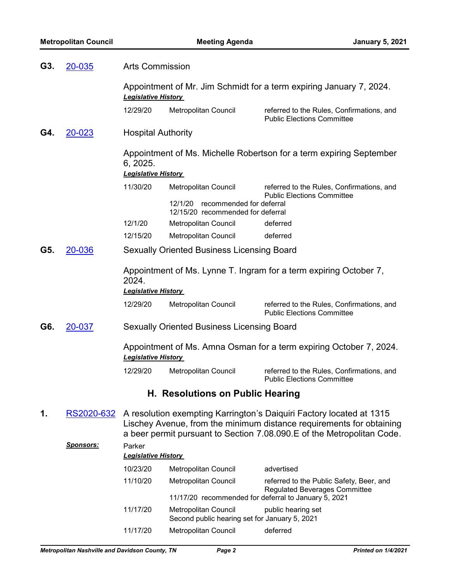| G3. | <b>Arts Commission</b><br>20-035 |                                      |                                                                          |                                                                                                                                                                                                                        |
|-----|----------------------------------|--------------------------------------|--------------------------------------------------------------------------|------------------------------------------------------------------------------------------------------------------------------------------------------------------------------------------------------------------------|
|     |                                  | <b>Legislative History</b>           |                                                                          | Appointment of Mr. Jim Schmidt for a term expiring January 7, 2024.                                                                                                                                                    |
|     |                                  | 12/29/20                             | Metropolitan Council                                                     | referred to the Rules, Confirmations, and<br><b>Public Elections Committee</b>                                                                                                                                         |
| G4. | 20-023                           | <b>Hospital Authority</b>            |                                                                          |                                                                                                                                                                                                                        |
|     |                                  | 6, 2025.                             |                                                                          | Appointment of Ms. Michelle Robertson for a term expiring September                                                                                                                                                    |
|     |                                  | <b>Legislative History</b>           |                                                                          |                                                                                                                                                                                                                        |
|     |                                  | 11/30/20                             | Metropolitan Council                                                     | referred to the Rules, Confirmations, and<br><b>Public Elections Committee</b>                                                                                                                                         |
|     |                                  |                                      | recommended for deferral<br>12/1/20<br>12/15/20 recommended for deferral |                                                                                                                                                                                                                        |
|     |                                  | 12/1/20                              | Metropolitan Council                                                     | deferred                                                                                                                                                                                                               |
|     |                                  | 12/15/20                             | Metropolitan Council                                                     | deferred                                                                                                                                                                                                               |
| G5. | 20-036                           |                                      | <b>Sexually Oriented Business Licensing Board</b>                        |                                                                                                                                                                                                                        |
|     |                                  | 2024.<br><b>Legislative History</b>  |                                                                          | Appointment of Ms. Lynne T. Ingram for a term expiring October 7,                                                                                                                                                      |
|     |                                  | 12/29/20                             | Metropolitan Council                                                     | referred to the Rules, Confirmations, and<br><b>Public Elections Committee</b>                                                                                                                                         |
| G6. | 20-037                           |                                      | <b>Sexually Oriented Business Licensing Board</b>                        |                                                                                                                                                                                                                        |
|     |                                  | <b>Legislative History</b>           |                                                                          | Appointment of Ms. Amna Osman for a term expiring October 7, 2024.                                                                                                                                                     |
|     |                                  | 12/29/20                             | Metropolitan Council                                                     | referred to the Rules, Confirmations, and<br><b>Public Elections Committee</b>                                                                                                                                         |
|     |                                  |                                      | H. Resolutions on Public Hearing                                         |                                                                                                                                                                                                                        |
| 1.  | RS2020-632                       |                                      |                                                                          | A resolution exempting Karrington's Daiquiri Factory located at 1315<br>Lischey Avenue, from the minimum distance requirements for obtaining<br>a beer permit pursuant to Section 7.08.090.E of the Metropolitan Code. |
|     | <u>Sponsors:</u>                 | Parker<br><b>Legislative History</b> |                                                                          |                                                                                                                                                                                                                        |
|     |                                  | 10/23/20                             | <b>Metropolitan Council</b>                                              | advertised                                                                                                                                                                                                             |
|     |                                  | 11/10/20                             | <b>Metropolitan Council</b>                                              | referred to the Public Safety, Beer, and                                                                                                                                                                               |
|     |                                  |                                      | 11/17/20 recommended for deferral to January 5, 2021                     | <b>Regulated Beverages Committee</b>                                                                                                                                                                                   |
|     |                                  | 11/17/20                             | Metropolitan Council                                                     | public hearing set                                                                                                                                                                                                     |

11/17/20 Metropolitan Council deferred

Second public hearing set for January 5, 2021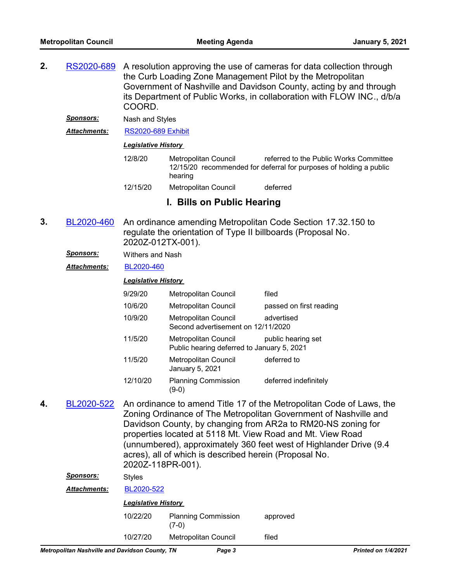- A resolution approving the use of cameras for data collection through the Curb Loading Zone Management Pilot by the Metropolitan Government of Nashville and Davidson County, acting by and through its Department of Public Works, in collaboration with FLOW INC., d/b/a COORD. **2.** [RS2020-689](http://nashville.legistar.com/gateway.aspx?m=l&id=/matter.aspx?key=1736)
	- *Sponsors:* Nash and Styles

*Attachments:* [RS2020-689 Exhibit](http://nashville.legistar.com/gateway.aspx?M=F&ID=cb313e07-cfc2-4cd1-95a5-0cd0f136263c.PDF)

#### *Legislative History*

- 12/8/20 Metropolitan Council referred to the Public Works Committee 12/15/20 recommended for deferral for purposes of holding a public hearing
- 12/15/20 Metropolitan Council deferred

### **I. Bills on Public Hearing**

- An ordinance amending Metropolitan Code Section 17.32.150 to regulate the orientation of Type II billboards (Proposal No. 2020Z-012TX-001). **3.** [BL2020-460](http://nashville.legistar.com/gateway.aspx?m=l&id=/matter.aspx?key=1418)
	- *Sponsors:* Withers and Nash
	- *Attachments:* [BL2020-460](http://nashville.legistar.com/gateway.aspx?M=F&ID=08c2ab98-7840-4cd2-a5ca-fd500dab4606.pdf)

#### *Legislative History*

| 9/29/20  | <b>Metropolitan Council</b>                                               | filed                   |
|----------|---------------------------------------------------------------------------|-------------------------|
| 10/6/20  | <b>Metropolitan Council</b>                                               | passed on first reading |
| 10/9/20  | <b>Metropolitan Council</b><br>Second advertisement on 12/11/2020         | advertised              |
| 11/5/20  | <b>Metropolitan Council</b><br>Public hearing deferred to January 5, 2021 | public hearing set      |
| 11/5/20  | <b>Metropolitan Council</b><br>January 5, 2021                            | deferred to             |
| 12/10/20 | <b>Planning Commission</b>                                                | deferred indefinitely   |

An ordinance to amend Title 17 of the Metropolitan Code of Laws, the Zoning Ordinance of The Metropolitan Government of Nashville and Davidson County, by changing from AR2a to RM20-NS zoning for properties located at 5118 Mt. View Road and Mt. View Road (unnumbered), approximately 360 feet west of Highlander Drive (9.4 acres), all of which is described herein (Proposal No. 2020Z-118PR-001). **4.** [BL2020-522](http://nashville.legistar.com/gateway.aspx?m=l&id=/matter.aspx?key=1585) **Sponsors:** Style

| <i>sponsors.</i>    | <b>Styles</b>              |                                       |          |  |
|---------------------|----------------------------|---------------------------------------|----------|--|
| <b>Attachments:</b> | BL2020-522                 |                                       |          |  |
|                     | <b>Legislative History</b> |                                       |          |  |
|                     | 10/22/20                   | <b>Planning Commission</b><br>$(7-0)$ | approved |  |
|                     | 10/27/20                   | <b>Metropolitan Council</b>           | filed    |  |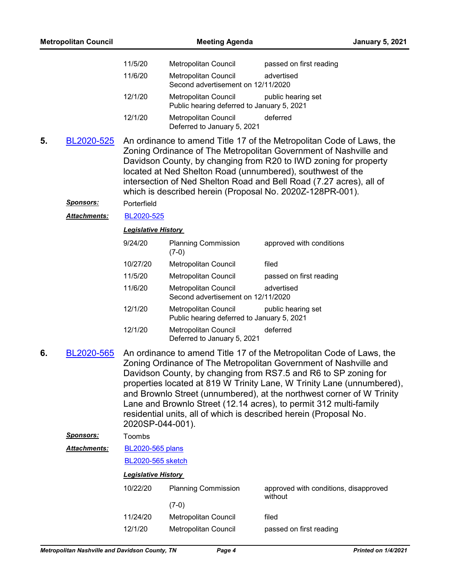|    | <b>Metropolitan Council</b>    |                                       | <b>Meeting Agenda</b>                                                                                                                                                                                                                                                                                                                                                                                                                                                                                    |                                                  | <b>January 5, 2021</b> |
|----|--------------------------------|---------------------------------------|----------------------------------------------------------------------------------------------------------------------------------------------------------------------------------------------------------------------------------------------------------------------------------------------------------------------------------------------------------------------------------------------------------------------------------------------------------------------------------------------------------|--------------------------------------------------|------------------------|
|    |                                | 11/5/20                               | Metropolitan Council                                                                                                                                                                                                                                                                                                                                                                                                                                                                                     | passed on first reading                          |                        |
|    |                                | 11/6/20                               | Metropolitan Council<br>Second advertisement on 12/11/2020                                                                                                                                                                                                                                                                                                                                                                                                                                               | advertised                                       |                        |
|    |                                | 12/1/20                               | Metropolitan Council<br>Public hearing deferred to January 5, 2021                                                                                                                                                                                                                                                                                                                                                                                                                                       | public hearing set                               |                        |
|    |                                | 12/1/20                               | Metropolitan Council<br>Deferred to January 5, 2021                                                                                                                                                                                                                                                                                                                                                                                                                                                      | deferred                                         |                        |
| 5. | BL2020-525<br><u>Sponsors:</u> |                                       | An ordinance to amend Title 17 of the Metropolitan Code of Laws, the<br>Zoning Ordinance of The Metropolitan Government of Nashville and<br>Davidson County, by changing from R20 to IWD zoning for property<br>located at Ned Shelton Road (unnumbered), southwest of the<br>intersection of Ned Shelton Road and Bell Road (7.27 acres), all of<br>which is described herein (Proposal No. 2020Z-128PR-001).                                                                                           |                                                  |                        |
|    |                                | Porterfield                           |                                                                                                                                                                                                                                                                                                                                                                                                                                                                                                          |                                                  |                        |
|    | Attachments:                   | BL2020-525                            |                                                                                                                                                                                                                                                                                                                                                                                                                                                                                                          |                                                  |                        |
|    |                                | <b>Legislative History</b><br>9/24/20 | <b>Planning Commission</b>                                                                                                                                                                                                                                                                                                                                                                                                                                                                               | approved with conditions                         |                        |
|    |                                |                                       | $(7-0)$                                                                                                                                                                                                                                                                                                                                                                                                                                                                                                  |                                                  |                        |
|    |                                | 10/27/20                              | Metropolitan Council                                                                                                                                                                                                                                                                                                                                                                                                                                                                                     | filed                                            |                        |
|    |                                | 11/5/20                               | Metropolitan Council                                                                                                                                                                                                                                                                                                                                                                                                                                                                                     | passed on first reading                          |                        |
|    |                                | 11/6/20                               | Metropolitan Council<br>Second advertisement on 12/11/2020                                                                                                                                                                                                                                                                                                                                                                                                                                               | advertised                                       |                        |
|    |                                | 12/1/20                               | <b>Metropolitan Council</b><br>Public hearing deferred to January 5, 2021                                                                                                                                                                                                                                                                                                                                                                                                                                | public hearing set                               |                        |
|    |                                | 12/1/20                               | Metropolitan Council<br>Deferred to January 5, 2021                                                                                                                                                                                                                                                                                                                                                                                                                                                      | deferred                                         |                        |
| 6. | BL2020-565                     | 2020SP-044-001).                      | An ordinance to amend Title 17 of the Metropolitan Code of Laws, the<br>Zoning Ordinance of The Metropolitan Government of Nashville and<br>Davidson County, by changing from RS7.5 and R6 to SP zoning for<br>properties located at 819 W Trinity Lane, W Trinity Lane (unnumbered),<br>and Brownlo Street (unnumbered), at the northwest corner of W Trinity<br>Lane and Brownlo Street (12.14 acres), to permit 312 multi-family<br>residential units, all of which is described herein (Proposal No. |                                                  |                        |
|    | <u>Sponsors:</u>               | Toombs                                |                                                                                                                                                                                                                                                                                                                                                                                                                                                                                                          |                                                  |                        |
|    | <b>Attachments:</b>            | <b>BL2020-565 plans</b>               |                                                                                                                                                                                                                                                                                                                                                                                                                                                                                                          |                                                  |                        |
|    |                                | BL2020-565 sketch                     |                                                                                                                                                                                                                                                                                                                                                                                                                                                                                                          |                                                  |                        |
|    |                                | <b>Legislative History</b>            |                                                                                                                                                                                                                                                                                                                                                                                                                                                                                                          |                                                  |                        |
|    |                                | 10/22/20                              | <b>Planning Commission</b>                                                                                                                                                                                                                                                                                                                                                                                                                                                                               | approved with conditions, disapproved<br>without |                        |
|    |                                |                                       | $(7-0)$                                                                                                                                                                                                                                                                                                                                                                                                                                                                                                  |                                                  |                        |
|    |                                | 11/24/20                              | Metropolitan Council                                                                                                                                                                                                                                                                                                                                                                                                                                                                                     | filed                                            |                        |
|    |                                | 12/1/20                               | Metropolitan Council                                                                                                                                                                                                                                                                                                                                                                                                                                                                                     | passed on first reading                          |                        |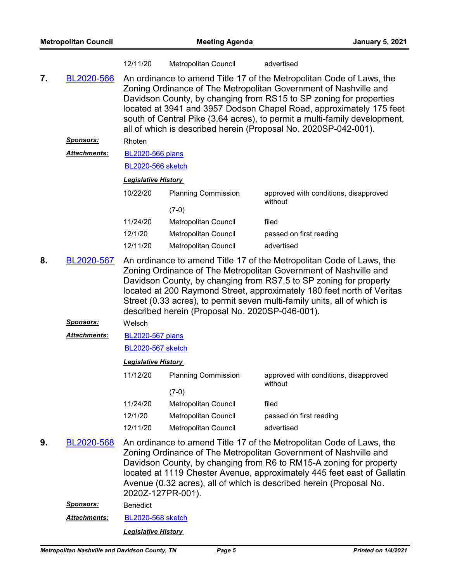|    | <b>Metropolitan Council</b> |                                                                                                                                                                                                                                                                                                                                                                                                                        | <b>Meeting Agenda</b>       | <b>January 5, 2021</b>                                                                                                                                                                                                                                                                                                                                                                                                                |
|----|-----------------------------|------------------------------------------------------------------------------------------------------------------------------------------------------------------------------------------------------------------------------------------------------------------------------------------------------------------------------------------------------------------------------------------------------------------------|-----------------------------|---------------------------------------------------------------------------------------------------------------------------------------------------------------------------------------------------------------------------------------------------------------------------------------------------------------------------------------------------------------------------------------------------------------------------------------|
|    |                             | 12/11/20                                                                                                                                                                                                                                                                                                                                                                                                               | Metropolitan Council        | advertised                                                                                                                                                                                                                                                                                                                                                                                                                            |
| 7. | BL2020-566                  |                                                                                                                                                                                                                                                                                                                                                                                                                        |                             | An ordinance to amend Title 17 of the Metropolitan Code of Laws, the<br>Zoning Ordinance of The Metropolitan Government of Nashville and<br>Davidson County, by changing from RS15 to SP zoning for properties<br>located at 3941 and 3957 Dodson Chapel Road, approximately 175 feet<br>south of Central Pike (3.64 acres), to permit a multi-family development,<br>all of which is described herein (Proposal No. 2020SP-042-001). |
|    | Sponsors:                   | Rhoten                                                                                                                                                                                                                                                                                                                                                                                                                 |                             |                                                                                                                                                                                                                                                                                                                                                                                                                                       |
|    | Attachments:                | <b>BL2020-566 plans</b>                                                                                                                                                                                                                                                                                                                                                                                                |                             |                                                                                                                                                                                                                                                                                                                                                                                                                                       |
|    |                             | <b>BL2020-566 sketch</b>                                                                                                                                                                                                                                                                                                                                                                                               |                             |                                                                                                                                                                                                                                                                                                                                                                                                                                       |
|    |                             | <b>Legislative History</b>                                                                                                                                                                                                                                                                                                                                                                                             |                             |                                                                                                                                                                                                                                                                                                                                                                                                                                       |
|    |                             | 10/22/20                                                                                                                                                                                                                                                                                                                                                                                                               | <b>Planning Commission</b>  | approved with conditions, disapproved<br>without                                                                                                                                                                                                                                                                                                                                                                                      |
|    |                             |                                                                                                                                                                                                                                                                                                                                                                                                                        | $(7-0)$                     |                                                                                                                                                                                                                                                                                                                                                                                                                                       |
|    |                             | 11/24/20                                                                                                                                                                                                                                                                                                                                                                                                               | Metropolitan Council        | filed                                                                                                                                                                                                                                                                                                                                                                                                                                 |
|    |                             | 12/1/20                                                                                                                                                                                                                                                                                                                                                                                                                | Metropolitan Council        | passed on first reading                                                                                                                                                                                                                                                                                                                                                                                                               |
|    |                             | 12/11/20                                                                                                                                                                                                                                                                                                                                                                                                               | Metropolitan Council        | advertised                                                                                                                                                                                                                                                                                                                                                                                                                            |
| 8. | BL2020-567                  | An ordinance to amend Title 17 of the Metropolitan Code of Laws, the<br>Zoning Ordinance of The Metropolitan Government of Nashville and<br>Davidson County, by changing from RS7.5 to SP zoning for property<br>located at 200 Raymond Street, approximately 180 feet north of Veritas<br>Street (0.33 acres), to permit seven multi-family units, all of which is<br>described herein (Proposal No. 2020SP-046-001). |                             |                                                                                                                                                                                                                                                                                                                                                                                                                                       |
|    | <b>Sponsors:</b>            | Welsch                                                                                                                                                                                                                                                                                                                                                                                                                 |                             |                                                                                                                                                                                                                                                                                                                                                                                                                                       |
|    | <b>Attachments:</b>         | <b>BL2020-567 plans</b>                                                                                                                                                                                                                                                                                                                                                                                                |                             |                                                                                                                                                                                                                                                                                                                                                                                                                                       |
|    |                             | <b>BL2020-567 sketch</b>                                                                                                                                                                                                                                                                                                                                                                                               |                             |                                                                                                                                                                                                                                                                                                                                                                                                                                       |
|    |                             | Legislative History                                                                                                                                                                                                                                                                                                                                                                                                    |                             |                                                                                                                                                                                                                                                                                                                                                                                                                                       |
|    |                             | 11/12/20                                                                                                                                                                                                                                                                                                                                                                                                               | <b>Planning Commission</b>  | approved with conditions, disapproved<br>without                                                                                                                                                                                                                                                                                                                                                                                      |
|    |                             |                                                                                                                                                                                                                                                                                                                                                                                                                        | $(7-0)$                     |                                                                                                                                                                                                                                                                                                                                                                                                                                       |
|    |                             | 11/24/20                                                                                                                                                                                                                                                                                                                                                                                                               | Metropolitan Council        | filed                                                                                                                                                                                                                                                                                                                                                                                                                                 |
|    |                             | 12/1/20                                                                                                                                                                                                                                                                                                                                                                                                                | <b>Metropolitan Council</b> | passed on first reading                                                                                                                                                                                                                                                                                                                                                                                                               |
|    |                             | 12/11/20                                                                                                                                                                                                                                                                                                                                                                                                               | Metropolitan Council        | advertised                                                                                                                                                                                                                                                                                                                                                                                                                            |
| 9. | BL2020-568                  | 2020Z-127PR-001).                                                                                                                                                                                                                                                                                                                                                                                                      |                             | An ordinance to amend Title 17 of the Metropolitan Code of Laws, the<br>Zoning Ordinance of The Metropolitan Government of Nashville and<br>Davidson County, by changing from R6 to RM15-A zoning for property<br>located at 1119 Chester Avenue, approximately 445 feet east of Gallatin<br>Avenue (0.32 acres), all of which is described herein (Proposal No.                                                                      |
|    | <b>Sponsors:</b>            | Benedict                                                                                                                                                                                                                                                                                                                                                                                                               |                             |                                                                                                                                                                                                                                                                                                                                                                                                                                       |
|    | Attachments:                | <b>BL2020-568 sketch</b>                                                                                                                                                                                                                                                                                                                                                                                               |                             |                                                                                                                                                                                                                                                                                                                                                                                                                                       |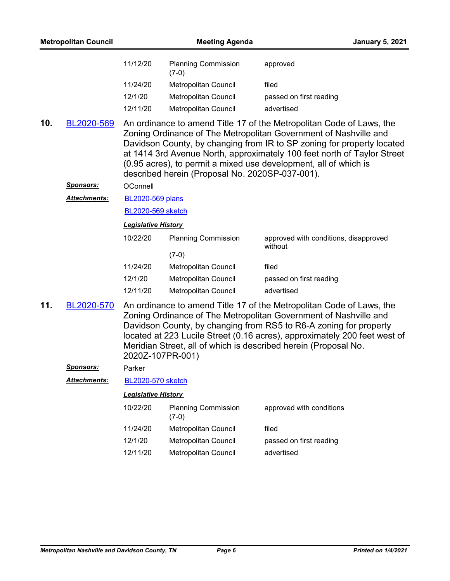|     | <b>Metropolitan Council</b> |                            | <b>Meeting Agenda</b>                           | <b>January 5, 2021</b>                                                                                                                                                                                                                                                                                                                                            |
|-----|-----------------------------|----------------------------|-------------------------------------------------|-------------------------------------------------------------------------------------------------------------------------------------------------------------------------------------------------------------------------------------------------------------------------------------------------------------------------------------------------------------------|
|     |                             | 11/12/20                   | <b>Planning Commission</b><br>$(7-0)$           | approved                                                                                                                                                                                                                                                                                                                                                          |
|     |                             | 11/24/20                   | Metropolitan Council                            | filed                                                                                                                                                                                                                                                                                                                                                             |
|     |                             | 12/1/20                    | <b>Metropolitan Council</b>                     | passed on first reading                                                                                                                                                                                                                                                                                                                                           |
|     |                             | 12/11/20                   | Metropolitan Council                            | advertised                                                                                                                                                                                                                                                                                                                                                        |
| 10. | BL2020-569                  |                            | described herein (Proposal No. 2020SP-037-001). | An ordinance to amend Title 17 of the Metropolitan Code of Laws, the<br>Zoning Ordinance of The Metropolitan Government of Nashville and<br>Davidson County, by changing from IR to SP zoning for property located<br>at 1414 3rd Avenue North, approximately 100 feet north of Taylor Street<br>(0.95 acres), to permit a mixed use development, all of which is |
|     | <u>Sponsors:</u>            | OConnell                   |                                                 |                                                                                                                                                                                                                                                                                                                                                                   |
|     | <b>Attachments:</b>         | <b>BL2020-569 plans</b>    |                                                 |                                                                                                                                                                                                                                                                                                                                                                   |
|     |                             | <b>BL2020-569 sketch</b>   |                                                 |                                                                                                                                                                                                                                                                                                                                                                   |
|     |                             | <b>Legislative History</b> |                                                 |                                                                                                                                                                                                                                                                                                                                                                   |
|     |                             | 10/22/20                   | <b>Planning Commission</b>                      | approved with conditions, disapproved<br>without                                                                                                                                                                                                                                                                                                                  |
|     |                             |                            | $(7-0)$                                         |                                                                                                                                                                                                                                                                                                                                                                   |
|     |                             | 11/24/20<br>12/1/20        | Metropolitan Council<br>Metropolitan Council    | filed<br>passed on first reading                                                                                                                                                                                                                                                                                                                                  |
|     |                             | 12/11/20                   | Metropolitan Council                            | advertised                                                                                                                                                                                                                                                                                                                                                        |
| 11. | BL2020-570                  | 2020Z-107PR-001)           |                                                 | An ordinance to amend Title 17 of the Metropolitan Code of Laws, the<br>Zoning Ordinance of The Metropolitan Government of Nashville and<br>Davidson County, by changing from RS5 to R6-A zoning for property<br>located at 223 Lucile Street (0.16 acres), approximately 200 feet west of<br>Meridian Street, all of which is described herein (Proposal No.     |
|     | Sponsors:                   | Parker                     |                                                 |                                                                                                                                                                                                                                                                                                                                                                   |
|     | Attachments:                | <b>BL2020-570 sketch</b>   |                                                 |                                                                                                                                                                                                                                                                                                                                                                   |
|     |                             | <b>Legislative History</b> |                                                 |                                                                                                                                                                                                                                                                                                                                                                   |
|     |                             | 10/22/20                   | <b>Planning Commission</b><br>$(7-0)$           | approved with conditions                                                                                                                                                                                                                                                                                                                                          |
|     |                             | 11/24/20                   | <b>Metropolitan Council</b>                     | filed                                                                                                                                                                                                                                                                                                                                                             |
|     |                             | 12/1/20                    | Metropolitan Council                            | passed on first reading                                                                                                                                                                                                                                                                                                                                           |
|     |                             | 12/11/20                   | <b>Metropolitan Council</b>                     | advertised                                                                                                                                                                                                                                                                                                                                                        |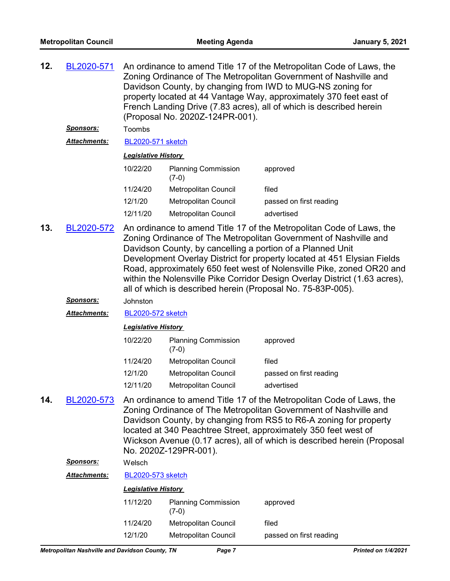| 12. | BL2020-571          | An ordinance to amend Title 17 of the Metropolitan Code of Laws, the<br>Zoning Ordinance of The Metropolitan Government of Nashville and<br>Davidson County, by changing from IWD to MUG-NS zoning for<br>property located at 44 Vantage Way, approximately 370 feet east of<br>French Landing Drive (7.83 acres), all of which is described herein<br>(Proposal No. 2020Z-124PR-001).                                                                                                                  |                                       |                                                                                                                                                                                                                                                                                                                                                             |
|-----|---------------------|---------------------------------------------------------------------------------------------------------------------------------------------------------------------------------------------------------------------------------------------------------------------------------------------------------------------------------------------------------------------------------------------------------------------------------------------------------------------------------------------------------|---------------------------------------|-------------------------------------------------------------------------------------------------------------------------------------------------------------------------------------------------------------------------------------------------------------------------------------------------------------------------------------------------------------|
|     | <u>Sponsors:</u>    | Toombs                                                                                                                                                                                                                                                                                                                                                                                                                                                                                                  |                                       |                                                                                                                                                                                                                                                                                                                                                             |
|     | Attachments:        | BL2020-571 sketch                                                                                                                                                                                                                                                                                                                                                                                                                                                                                       |                                       |                                                                                                                                                                                                                                                                                                                                                             |
|     |                     | <b>Legislative History</b>                                                                                                                                                                                                                                                                                                                                                                                                                                                                              |                                       |                                                                                                                                                                                                                                                                                                                                                             |
|     |                     | 10/22/20                                                                                                                                                                                                                                                                                                                                                                                                                                                                                                | <b>Planning Commission</b><br>$(7-0)$ | approved                                                                                                                                                                                                                                                                                                                                                    |
|     |                     | 11/24/20                                                                                                                                                                                                                                                                                                                                                                                                                                                                                                | Metropolitan Council                  | filed                                                                                                                                                                                                                                                                                                                                                       |
|     |                     | 12/1/20                                                                                                                                                                                                                                                                                                                                                                                                                                                                                                 | <b>Metropolitan Council</b>           | passed on first reading                                                                                                                                                                                                                                                                                                                                     |
|     |                     | 12/11/20                                                                                                                                                                                                                                                                                                                                                                                                                                                                                                | Metropolitan Council                  | advertised                                                                                                                                                                                                                                                                                                                                                  |
| 13. | BL2020-572          | An ordinance to amend Title 17 of the Metropolitan Code of Laws, the<br>Zoning Ordinance of The Metropolitan Government of Nashville and<br>Davidson County, by cancelling a portion of a Planned Unit<br>Development Overlay District for property located at 451 Elysian Fields<br>Road, approximately 650 feet west of Nolensville Pike, zoned OR20 and<br>within the Nolensville Pike Corridor Design Overlay District (1.63 acres),<br>all of which is described herein (Proposal No. 75-83P-005). |                                       |                                                                                                                                                                                                                                                                                                                                                             |
|     | <u>Sponsors:</u>    | Johnston                                                                                                                                                                                                                                                                                                                                                                                                                                                                                                |                                       |                                                                                                                                                                                                                                                                                                                                                             |
|     | <b>Attachments:</b> | BL2020-572 sketch                                                                                                                                                                                                                                                                                                                                                                                                                                                                                       |                                       |                                                                                                                                                                                                                                                                                                                                                             |
|     |                     | <b>Legislative History</b>                                                                                                                                                                                                                                                                                                                                                                                                                                                                              |                                       |                                                                                                                                                                                                                                                                                                                                                             |
|     |                     | 10/22/20                                                                                                                                                                                                                                                                                                                                                                                                                                                                                                | <b>Planning Commission</b><br>$(7-0)$ | approved                                                                                                                                                                                                                                                                                                                                                    |
|     |                     | 11/24/20                                                                                                                                                                                                                                                                                                                                                                                                                                                                                                | Metropolitan Council                  | filed                                                                                                                                                                                                                                                                                                                                                       |
|     |                     | 12/1/20                                                                                                                                                                                                                                                                                                                                                                                                                                                                                                 | Metropolitan Council                  | passed on first reading                                                                                                                                                                                                                                                                                                                                     |
|     |                     | 12/11/20                                                                                                                                                                                                                                                                                                                                                                                                                                                                                                | Metropolitan Council                  | advertised                                                                                                                                                                                                                                                                                                                                                  |
| 14. | BL2020-573          |                                                                                                                                                                                                                                                                                                                                                                                                                                                                                                         | No. 2020Z-129PR-001).                 | An ordinance to amend Title 17 of the Metropolitan Code of Laws, the<br>Zoning Ordinance of The Metropolitan Government of Nashville and<br>Davidson County, by changing from RS5 to R6-A zoning for property<br>located at 340 Peachtree Street, approximately 350 feet west of<br>Wickson Avenue (0.17 acres), all of which is described herein (Proposal |
|     | Sponsors:           | Welsch                                                                                                                                                                                                                                                                                                                                                                                                                                                                                                  |                                       |                                                                                                                                                                                                                                                                                                                                                             |
|     | Attachments:        | <b>BL2020-573 sketch</b>                                                                                                                                                                                                                                                                                                                                                                                                                                                                                |                                       |                                                                                                                                                                                                                                                                                                                                                             |
|     |                     | <b>Legislative History</b>                                                                                                                                                                                                                                                                                                                                                                                                                                                                              |                                       |                                                                                                                                                                                                                                                                                                                                                             |
|     |                     | 11/12/20                                                                                                                                                                                                                                                                                                                                                                                                                                                                                                | <b>Planning Commission</b><br>$(7-0)$ | approved                                                                                                                                                                                                                                                                                                                                                    |
|     |                     | 11/24/20                                                                                                                                                                                                                                                                                                                                                                                                                                                                                                | Metropolitan Council                  | filed                                                                                                                                                                                                                                                                                                                                                       |

12/1/20 Metropolitan Council passed on first reading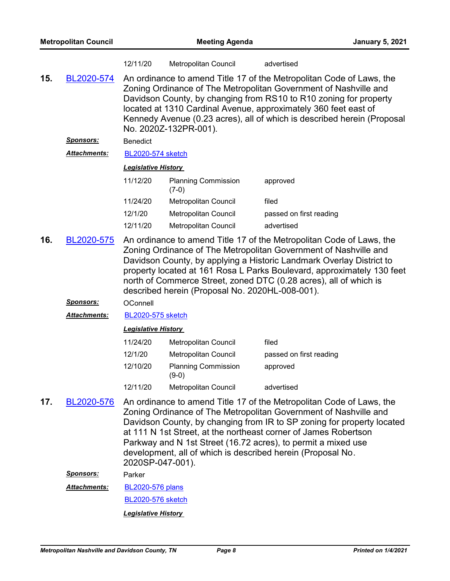|     |                      | 12/11/20                                                                                                                                                                                                                                                                                                                                                                                                           | <b>Metropolitan Council</b>           | advertised                                                                                                                                                                                                                                                                                                                                                                                                            |
|-----|----------------------|--------------------------------------------------------------------------------------------------------------------------------------------------------------------------------------------------------------------------------------------------------------------------------------------------------------------------------------------------------------------------------------------------------------------|---------------------------------------|-----------------------------------------------------------------------------------------------------------------------------------------------------------------------------------------------------------------------------------------------------------------------------------------------------------------------------------------------------------------------------------------------------------------------|
| 15. | BL2020-574           |                                                                                                                                                                                                                                                                                                                                                                                                                    | No. 2020Z-132PR-001).                 | An ordinance to amend Title 17 of the Metropolitan Code of Laws, the<br>Zoning Ordinance of The Metropolitan Government of Nashville and<br>Davidson County, by changing from RS10 to R10 zoning for property<br>located at 1310 Cardinal Avenue, approximately 360 feet east of<br>Kennedy Avenue (0.23 acres), all of which is described herein (Proposal                                                           |
|     | <u>Sponsors:</u>     | <b>Benedict</b>                                                                                                                                                                                                                                                                                                                                                                                                    |                                       |                                                                                                                                                                                                                                                                                                                                                                                                                       |
|     | <u> Attachments:</u> | <b>BL2020-574 sketch</b>                                                                                                                                                                                                                                                                                                                                                                                           |                                       |                                                                                                                                                                                                                                                                                                                                                                                                                       |
|     |                      | <b>Legislative History</b>                                                                                                                                                                                                                                                                                                                                                                                         |                                       |                                                                                                                                                                                                                                                                                                                                                                                                                       |
|     |                      | 11/12/20                                                                                                                                                                                                                                                                                                                                                                                                           | <b>Planning Commission</b><br>$(7-0)$ | approved                                                                                                                                                                                                                                                                                                                                                                                                              |
|     |                      | 11/24/20                                                                                                                                                                                                                                                                                                                                                                                                           | Metropolitan Council                  | filed                                                                                                                                                                                                                                                                                                                                                                                                                 |
|     |                      | 12/1/20                                                                                                                                                                                                                                                                                                                                                                                                            | Metropolitan Council                  | passed on first reading                                                                                                                                                                                                                                                                                                                                                                                               |
|     |                      | 12/11/20                                                                                                                                                                                                                                                                                                                                                                                                           | Metropolitan Council                  | advertised                                                                                                                                                                                                                                                                                                                                                                                                            |
| 16. | BL2020-575           | An ordinance to amend Title 17 of the Metropolitan Code of Laws, the<br>Zoning Ordinance of The Metropolitan Government of Nashville and<br>Davidson County, by applying a Historic Landmark Overlay District to<br>property located at 161 Rosa L Parks Boulevard, approximately 130 feet<br>north of Commerce Street, zoned DTC (0.28 acres), all of which is<br>described herein (Proposal No. 2020HL-008-001). |                                       |                                                                                                                                                                                                                                                                                                                                                                                                                       |
|     | <u>Sponsors:</u>     | OConnell                                                                                                                                                                                                                                                                                                                                                                                                           |                                       |                                                                                                                                                                                                                                                                                                                                                                                                                       |
|     | <b>Attachments:</b>  | <b>BL2020-575 sketch</b>                                                                                                                                                                                                                                                                                                                                                                                           |                                       |                                                                                                                                                                                                                                                                                                                                                                                                                       |
|     |                      | <b>Legislative History</b>                                                                                                                                                                                                                                                                                                                                                                                         |                                       |                                                                                                                                                                                                                                                                                                                                                                                                                       |
|     |                      | 11/24/20                                                                                                                                                                                                                                                                                                                                                                                                           | Metropolitan Council                  | filed                                                                                                                                                                                                                                                                                                                                                                                                                 |
|     |                      | 12/1/20                                                                                                                                                                                                                                                                                                                                                                                                            | Metropolitan Council                  | passed on first reading                                                                                                                                                                                                                                                                                                                                                                                               |
|     |                      | 12/10/20                                                                                                                                                                                                                                                                                                                                                                                                           | <b>Planning Commission</b><br>$(9-0)$ | approved                                                                                                                                                                                                                                                                                                                                                                                                              |
|     |                      | 12/11/20                                                                                                                                                                                                                                                                                                                                                                                                           | Metropolitan Council                  | advertised                                                                                                                                                                                                                                                                                                                                                                                                            |
| 17. | BL2020-576           | 2020SP-047-001).                                                                                                                                                                                                                                                                                                                                                                                                   |                                       | An ordinance to amend Title 17 of the Metropolitan Code of Laws, the<br>Zoning Ordinance of The Metropolitan Government of Nashville and<br>Davidson County, by changing from IR to SP zoning for property located<br>at 111 N 1st Street, at the northeast corner of James Robertson<br>Parkway and N 1st Street (16.72 acres), to permit a mixed use<br>development, all of which is described herein (Proposal No. |
|     | <b>Sponsors:</b>     | Parker                                                                                                                                                                                                                                                                                                                                                                                                             |                                       |                                                                                                                                                                                                                                                                                                                                                                                                                       |
|     | Attachments:         | <b>BL2020-576 plans</b>                                                                                                                                                                                                                                                                                                                                                                                            |                                       |                                                                                                                                                                                                                                                                                                                                                                                                                       |
|     |                      | <b>BL2020-576 sketch</b>                                                                                                                                                                                                                                                                                                                                                                                           |                                       |                                                                                                                                                                                                                                                                                                                                                                                                                       |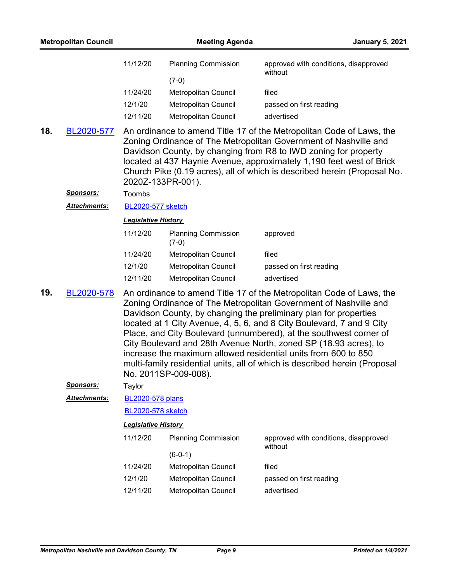|     |            | 11747720          | <b>IVICU OPOINGH OUGHOIL</b> | mou                                                                                                                                                                                                                                                                                                                                                             |
|-----|------------|-------------------|------------------------------|-----------------------------------------------------------------------------------------------------------------------------------------------------------------------------------------------------------------------------------------------------------------------------------------------------------------------------------------------------------------|
|     |            | 12/1/20           | <b>Metropolitan Council</b>  | passed on first reading                                                                                                                                                                                                                                                                                                                                         |
|     |            | 12/11/20          | <b>Metropolitan Council</b>  | advertised                                                                                                                                                                                                                                                                                                                                                      |
| 18. | BL2020-577 | 2020Z-133PR-001). |                              | An ordinance to amend Title 17 of the Metropolitan Code of Laws, the<br>Zoning Ordinance of The Metropolitan Government of Nashville and<br>Davidson County, by changing from R8 to IWD zoning for property<br>located at 437 Haynie Avenue, approximately 1,190 feet west of Brick<br>Church Pike (0.19 acres), all of which is described herein (Proposal No. |

*Sponsors:* Toombs

*Attachments:* [BL2020-577 sketch](http://nashville.legistar.com/gateway.aspx?M=F&ID=1bd87ea7-de83-45eb-951f-c87a330d620c.docx)

#### *Legislative History*

| 11/12/20 | <b>Planning Commission</b><br>$(7-0)$ | approved                |
|----------|---------------------------------------|-------------------------|
| 11/24/20 | <b>Metropolitan Council</b>           | filed                   |
| 12/1/20  | Metropolitan Council                  | passed on first reading |
| 12/11/20 | Metropolitan Council                  | advertised              |

An ordinance to amend Title 17 of the Metropolitan Code of Laws, the Zoning Ordinance of The Metropolitan Government of Nashville and Davidson County, by changing the preliminary plan for properties located at 1 City Avenue, 4, 5, 6, and 8 City Boulevard, 7 and 9 City Place, and City Boulevard (unnumbered), at the southwest corner of City Boulevard and 28th Avenue North, zoned SP (18.93 acres), to increase the maximum allowed residential units from 600 to 850 multi-family residential units, all of which is described herein (Proposal No. 2011SP-009-008). **19.** [BL2020-578](http://nashville.legistar.com/gateway.aspx?m=l&id=/matter.aspx?key=1678)

*Sponsors:* Taylor

[BL2020-578 plans](http://nashville.legistar.com/gateway.aspx?M=F&ID=4130a52a-68d0-4aa3-91c9-575b0efb5bfc.pdf) *Attachments:*

[BL2020-578 sketch](http://nashville.legistar.com/gateway.aspx?M=F&ID=ad52735e-8657-4ffa-a774-dc7a74ec68a3.docx)

| 11/12/20 | <b>Planning Commission</b> | approved with conditions, disapproved<br>without |
|----------|----------------------------|--------------------------------------------------|
|          | (6-0-1)                    |                                                  |
| 11/24/20 | Metropolitan Council       | filed                                            |
| 12/1/20  | Metropolitan Council       | passed on first reading                          |
| 12/11/20 | Metropolitan Council       | advertised                                       |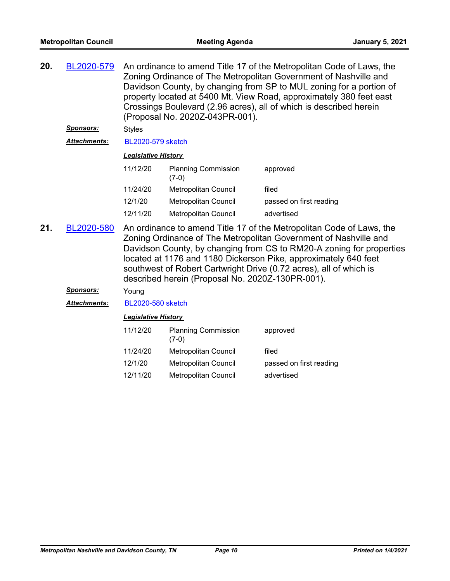| 20.<br>BL2020-579<br>An ordinance to amend Title 17 of the Metropolitan Code of Laws, the<br>Zoning Ordinance of The Metropolitan Government of Nashville and<br>Davidson County, by changing from SP to MUL zoning for a portion of<br>property located at 5400 Mt. View Road, approximately 380 feet east<br>Crossings Boulevard (2.96 acres), all of which is described herein<br>(Proposal No. 2020Z-043PR-001). |                     |                            |                                       |                         |  |
|----------------------------------------------------------------------------------------------------------------------------------------------------------------------------------------------------------------------------------------------------------------------------------------------------------------------------------------------------------------------------------------------------------------------|---------------------|----------------------------|---------------------------------------|-------------------------|--|
|                                                                                                                                                                                                                                                                                                                                                                                                                      | <b>Sponsors:</b>    | <b>Styles</b>              |                                       |                         |  |
|                                                                                                                                                                                                                                                                                                                                                                                                                      | <b>Attachments:</b> | <b>BL2020-579 sketch</b>   |                                       |                         |  |
|                                                                                                                                                                                                                                                                                                                                                                                                                      |                     | <b>Legislative History</b> |                                       |                         |  |
|                                                                                                                                                                                                                                                                                                                                                                                                                      |                     | 11/12/20                   | <b>Planning Commission</b><br>$(7-0)$ | approved                |  |
|                                                                                                                                                                                                                                                                                                                                                                                                                      |                     | 11/24/20                   | Metropolitan Council                  | filed                   |  |
|                                                                                                                                                                                                                                                                                                                                                                                                                      |                     | 12/1/20                    | Metropolitan Council                  | passed on first reading |  |
|                                                                                                                                                                                                                                                                                                                                                                                                                      |                     | 12/11/20                   | Metropolitan Council                  | advertised              |  |
|                                                                                                                                                                                                                                                                                                                                                                                                                      |                     |                            |                                       |                         |  |

An ordinance to amend Title 17 of the Metropolitan Code of Laws, the Zoning Ordinance of The Metropolitan Government of Nashville and Davidson County, by changing from CS to RM20-A zoning for properties located at 1176 and 1180 Dickerson Pike, approximately 640 feet southwest of Robert Cartwright Drive (0.72 acres), all of which is described herein (Proposal No. 2020Z-130PR-001). **21.** [BL2020-580](http://nashville.legistar.com/gateway.aspx?m=l&id=/matter.aspx?key=1682)

#### *Sponsors:* Young

*Attachments:* [BL2020-580 sketch](http://nashville.legistar.com/gateway.aspx?M=F&ID=f2881c9b-b02b-417b-8a99-133b973df6c9.docx)

| <b>Planning Commission</b><br>$(7-0)$ | approved                |
|---------------------------------------|-------------------------|
| Metropolitan Council                  | filed                   |
| Metropolitan Council                  | passed on first reading |
| Metropolitan Council                  | advertised              |
|                                       |                         |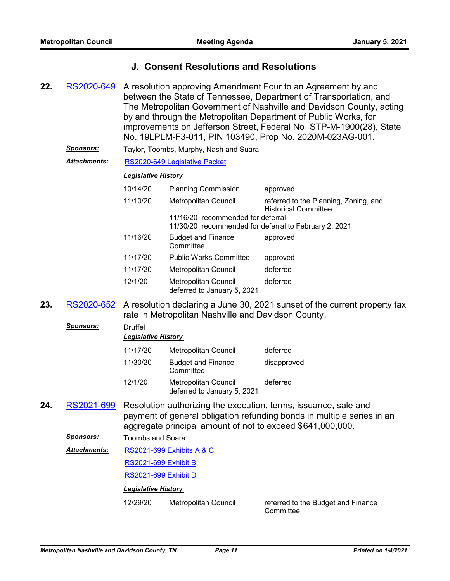### **J. Consent Resolutions and Resolutions**

- A resolution approving Amendment Four to an Agreement by and between the State of Tennessee, Department of Transportation, and The Metropolitan Government of Nashville and Davidson County, acting by and through the Metropolitan Department of Public Works, for improvements on Jefferson Street, Federal No. STP-M-1900(28), State No. 19LPLM-F3-011, PIN 103490, Prop No. 2020M-023AG-001. **22.** [RS2020-649](http://nashville.legistar.com/gateway.aspx?m=l&id=/matter.aspx?key=1609)
	- *Sponsors:* Taylor, Toombs, Murphy, Nash and Suara

#### *Attachments:* [RS2020-649 Legislative Packet](http://nashville.legistar.com/gateway.aspx?M=F&ID=3a0661ab-20d6-4408-939f-780b5d58dc5b.PDF)

#### *Legislative History*

| 10/14/20                                | <b>Planning Commission</b>                                 | approved                                                             |
|-----------------------------------------|------------------------------------------------------------|----------------------------------------------------------------------|
| 11/10/20<br><b>Metropolitan Council</b> |                                                            | referred to the Planning, Zoning, and<br><b>Historical Committee</b> |
|                                         | 11/16/20 recommended for deferral                          |                                                                      |
|                                         |                                                            | 11/30/20 recommended for deferral to February 2, 2021                |
| 11/16/20                                | <b>Budget and Finance</b><br>Committee                     | approved                                                             |
| 11/17/20                                | <b>Public Works Committee</b>                              | approved                                                             |
| 11/17/20                                | <b>Metropolitan Council</b>                                | deferred                                                             |
| 12/1/20                                 | <b>Metropolitan Council</b><br>deferred to January 5, 2021 | deferred                                                             |

23. [RS2020-652](http://nashville.legistar.com/gateway.aspx?m=l&id=/matter.aspx?key=1647) A resolution declaring a June 30, 2021 sunset of the current property tax rate in Metropolitan Nashville and Davidson County.

| <b>Sponsors:</b> | Druffel<br><b>Legislative History</b>                                                                                                                                                                   |                                                     |             |
|------------------|---------------------------------------------------------------------------------------------------------------------------------------------------------------------------------------------------------|-----------------------------------------------------|-------------|
|                  | 11/17/20                                                                                                                                                                                                | Metropolitan Council                                | deferred    |
|                  | 11/30/20                                                                                                                                                                                                | <b>Budget and Finance</b><br>Committee              | disapproved |
|                  | 12/1/20                                                                                                                                                                                                 | Metropolitan Council<br>deferred to January 5, 2021 | deferred    |
| RS2021-699       | Resolution authorizing the execution, terms, issuance, sale and<br>payment of general obligation refunding bonds in multiple series in an<br>aggregate principal amount of not to exceed \$641,000,000. |                                                     |             |
| <b>Sponsors:</b> | Toombs and Suara                                                                                                                                                                                        |                                                     |             |
|                  |                                                                                                                                                                                                         |                                                     |             |

[RS2021-699 Exhibits A & C](http://nashville.legistar.com/gateway.aspx?M=F&ID=d9a1630b-9766-4c64-975a-90a105e0ae3c.pdf) *Attachments:*

[RS2021-699 Exhibit B](http://nashville.legistar.com/gateway.aspx?M=F&ID=e728d1ee-f012-4580-ba6f-8cf77bcbd6bb.DOCX)

[RS2021-699 Exhibit D](http://nashville.legistar.com/gateway.aspx?M=F&ID=a5194df6-ebab-4c24-a873-83833e468c18.DOC)

#### *Legislative History*

12/29/20 Metropolitan Council referred to the Budget and Finance

**Committee** 

**24.**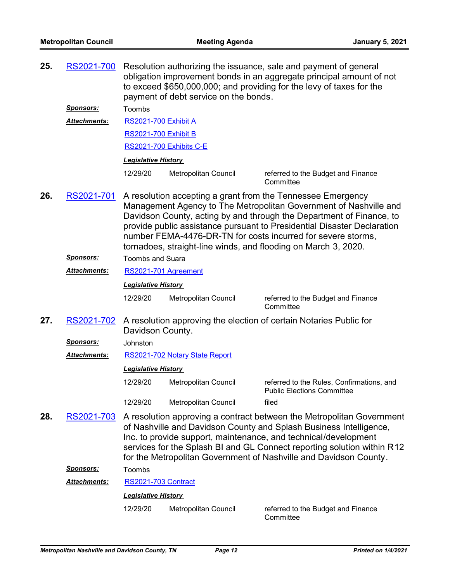| 25. | RS2021-700          |                                                                                                                                                                                                                                                                                                                                                                                                                       | payment of debt service on the bonds. | Resolution authorizing the issuance, sale and payment of general<br>obligation improvement bonds in an aggregate principal amount of not<br>to exceed \$650,000,000; and providing for the levy of taxes for the |  |  |  |
|-----|---------------------|-----------------------------------------------------------------------------------------------------------------------------------------------------------------------------------------------------------------------------------------------------------------------------------------------------------------------------------------------------------------------------------------------------------------------|---------------------------------------|------------------------------------------------------------------------------------------------------------------------------------------------------------------------------------------------------------------|--|--|--|
|     | <u>Sponsors:</u>    | Toombs                                                                                                                                                                                                                                                                                                                                                                                                                |                                       |                                                                                                                                                                                                                  |  |  |  |
|     | <b>Attachments:</b> | <b>RS2021-700 Exhibit A</b>                                                                                                                                                                                                                                                                                                                                                                                           |                                       |                                                                                                                                                                                                                  |  |  |  |
|     |                     | <b>RS2021-700 Exhibit B</b>                                                                                                                                                                                                                                                                                                                                                                                           |                                       |                                                                                                                                                                                                                  |  |  |  |
|     |                     |                                                                                                                                                                                                                                                                                                                                                                                                                       | RS2021-700 Exhibits C-E               |                                                                                                                                                                                                                  |  |  |  |
|     |                     | <b>Legislative History</b>                                                                                                                                                                                                                                                                                                                                                                                            |                                       |                                                                                                                                                                                                                  |  |  |  |
|     |                     | 12/29/20                                                                                                                                                                                                                                                                                                                                                                                                              | Metropolitan Council                  | referred to the Budget and Finance<br>Committee                                                                                                                                                                  |  |  |  |
| 26. | RS2021-701          | A resolution accepting a grant from the Tennessee Emergency<br>Management Agency to The Metropolitan Government of Nashville and<br>Davidson County, acting by and through the Department of Finance, to<br>provide public assistance pursuant to Presidential Disaster Declaration<br>number FEMA-4476-DR-TN for costs incurred for severe storms,<br>tornadoes, straight-line winds, and flooding on March 3, 2020. |                                       |                                                                                                                                                                                                                  |  |  |  |
|     | <b>Sponsors:</b>    | <b>Toombs and Suara</b>                                                                                                                                                                                                                                                                                                                                                                                               |                                       |                                                                                                                                                                                                                  |  |  |  |
|     | <b>Attachments:</b> | RS2021-701 Agreement                                                                                                                                                                                                                                                                                                                                                                                                  |                                       |                                                                                                                                                                                                                  |  |  |  |
|     |                     | <b>Legislative History</b>                                                                                                                                                                                                                                                                                                                                                                                            |                                       |                                                                                                                                                                                                                  |  |  |  |
|     |                     | 12/29/20                                                                                                                                                                                                                                                                                                                                                                                                              | Metropolitan Council                  | referred to the Budget and Finance<br>Committee                                                                                                                                                                  |  |  |  |
| 27. | RS2021-702          | A resolution approving the election of certain Notaries Public for<br>Davidson County.                                                                                                                                                                                                                                                                                                                                |                                       |                                                                                                                                                                                                                  |  |  |  |
|     | <u>Sponsors:</u>    | Johnston                                                                                                                                                                                                                                                                                                                                                                                                              |                                       |                                                                                                                                                                                                                  |  |  |  |
|     | Attachments:        |                                                                                                                                                                                                                                                                                                                                                                                                                       | RS2021-702 Notary State Report        |                                                                                                                                                                                                                  |  |  |  |
|     |                     | <b>Legislative History</b>                                                                                                                                                                                                                                                                                                                                                                                            |                                       |                                                                                                                                                                                                                  |  |  |  |
|     |                     | 12/29/20                                                                                                                                                                                                                                                                                                                                                                                                              | Metropolitan Council                  | referred to the Rules, Confirmations, and<br><b>Public Elections Committee</b>                                                                                                                                   |  |  |  |
|     |                     | 12/29/20                                                                                                                                                                                                                                                                                                                                                                                                              | Metropolitan Council                  | filed                                                                                                                                                                                                            |  |  |  |
| 28. | RS2021-703          | A resolution approving a contract between the Metropolitan Government<br>of Nashville and Davidson County and Splash Business Intelligence,<br>Inc. to provide support, maintenance, and technical/development<br>services for the Splash BI and GL Connect reporting solution within R12<br>for the Metropolitan Government of Nashville and Davidson County.                                                        |                                       |                                                                                                                                                                                                                  |  |  |  |
|     | <u>Sponsors:</u>    | Toombs                                                                                                                                                                                                                                                                                                                                                                                                                |                                       |                                                                                                                                                                                                                  |  |  |  |
|     | <b>Attachments:</b> | RS2021-703 Contract                                                                                                                                                                                                                                                                                                                                                                                                   |                                       |                                                                                                                                                                                                                  |  |  |  |
|     |                     | <b>Legislative History</b>                                                                                                                                                                                                                                                                                                                                                                                            |                                       |                                                                                                                                                                                                                  |  |  |  |
|     |                     | 12/29/20                                                                                                                                                                                                                                                                                                                                                                                                              | Metropolitan Council                  | referred to the Budget and Finance<br>Committee                                                                                                                                                                  |  |  |  |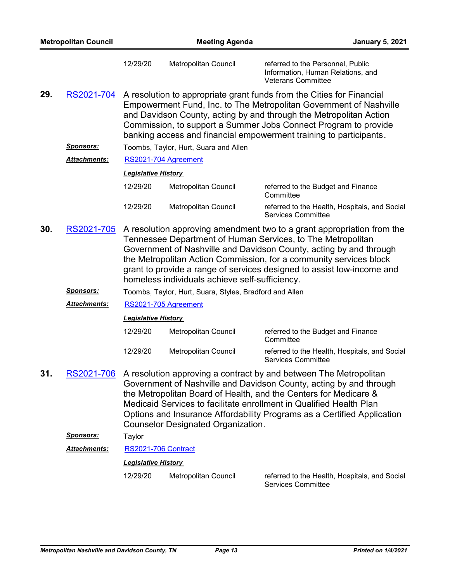| <b>Metropolitan Council</b> |                     | <b>Meeting Agenda</b>                                                                                                                                                                                                                                                                                                                                                                                         |                                                                                                                                                                                                                                                                                                                                                            | <b>January 5, 2021</b>                                                                              |  |  |  |  |
|-----------------------------|---------------------|---------------------------------------------------------------------------------------------------------------------------------------------------------------------------------------------------------------------------------------------------------------------------------------------------------------------------------------------------------------------------------------------------------------|------------------------------------------------------------------------------------------------------------------------------------------------------------------------------------------------------------------------------------------------------------------------------------------------------------------------------------------------------------|-----------------------------------------------------------------------------------------------------|--|--|--|--|
|                             |                     | 12/29/20                                                                                                                                                                                                                                                                                                                                                                                                      | Metropolitan Council                                                                                                                                                                                                                                                                                                                                       | referred to the Personnel, Public<br>Information, Human Relations, and<br><b>Veterans Committee</b> |  |  |  |  |
| 29.                         | RS2021-704          |                                                                                                                                                                                                                                                                                                                                                                                                               | A resolution to appropriate grant funds from the Cities for Financial<br>Empowerment Fund, Inc. to The Metropolitan Government of Nashville<br>and Davidson County, acting by and through the Metropolitan Action<br>Commission, to support a Summer Jobs Connect Program to provide<br>banking access and financial empowerment training to participants. |                                                                                                     |  |  |  |  |
|                             | <u>Sponsors:</u>    |                                                                                                                                                                                                                                                                                                                                                                                                               | Toombs, Taylor, Hurt, Suara and Allen                                                                                                                                                                                                                                                                                                                      |                                                                                                     |  |  |  |  |
|                             | <b>Attachments:</b> |                                                                                                                                                                                                                                                                                                                                                                                                               | RS2021-704 Agreement                                                                                                                                                                                                                                                                                                                                       |                                                                                                     |  |  |  |  |
|                             |                     | <b>Legislative History</b>                                                                                                                                                                                                                                                                                                                                                                                    |                                                                                                                                                                                                                                                                                                                                                            |                                                                                                     |  |  |  |  |
|                             |                     | 12/29/20                                                                                                                                                                                                                                                                                                                                                                                                      | Metropolitan Council                                                                                                                                                                                                                                                                                                                                       | referred to the Budget and Finance<br>Committee                                                     |  |  |  |  |
|                             |                     | 12/29/20                                                                                                                                                                                                                                                                                                                                                                                                      | Metropolitan Council                                                                                                                                                                                                                                                                                                                                       | referred to the Health, Hospitals, and Social<br><b>Services Committee</b>                          |  |  |  |  |
| 30.                         | RS2021-705          | A resolution approving amendment two to a grant appropriation from the<br>Tennessee Department of Human Services, to The Metropolitan<br>Government of Nashville and Davidson County, acting by and through<br>the Metropolitan Action Commission, for a community services block<br>grant to provide a range of services designed to assist low-income and<br>homeless individuals achieve self-sufficiency. |                                                                                                                                                                                                                                                                                                                                                            |                                                                                                     |  |  |  |  |
|                             | <u>Sponsors:</u>    |                                                                                                                                                                                                                                                                                                                                                                                                               | Toombs, Taylor, Hurt, Suara, Styles, Bradford and Allen                                                                                                                                                                                                                                                                                                    |                                                                                                     |  |  |  |  |
|                             | <b>Attachments:</b> | RS2021-705 Agreement                                                                                                                                                                                                                                                                                                                                                                                          |                                                                                                                                                                                                                                                                                                                                                            |                                                                                                     |  |  |  |  |
|                             |                     | <b>Legislative History</b>                                                                                                                                                                                                                                                                                                                                                                                    |                                                                                                                                                                                                                                                                                                                                                            |                                                                                                     |  |  |  |  |
|                             |                     | 12/29/20                                                                                                                                                                                                                                                                                                                                                                                                      | Metropolitan Council                                                                                                                                                                                                                                                                                                                                       | referred to the Budget and Finance<br>Committee                                                     |  |  |  |  |
|                             |                     | 12/29/20                                                                                                                                                                                                                                                                                                                                                                                                      | Metropolitan Council                                                                                                                                                                                                                                                                                                                                       | referred to the Health, Hospitals, and Social<br><b>Services Committee</b>                          |  |  |  |  |
| 31.                         | <u>RS2021-706</u>   | A resolution approving a contract by and between The Metropolitan<br>Government of Nashville and Davidson County, acting by and through<br>the Metropolitan Board of Health, and the Centers for Medicare &<br>Medicaid Services to facilitate enrollment in Qualified Health Plan<br>Options and Insurance Affordability Programs as a Certified Application<br><b>Counselor Designated Organization.</b>    |                                                                                                                                                                                                                                                                                                                                                            |                                                                                                     |  |  |  |  |
|                             | <u>Sponsors:</u>    | Taylor                                                                                                                                                                                                                                                                                                                                                                                                        |                                                                                                                                                                                                                                                                                                                                                            |                                                                                                     |  |  |  |  |
|                             | <b>Attachments:</b> | RS2021-706 Contract                                                                                                                                                                                                                                                                                                                                                                                           |                                                                                                                                                                                                                                                                                                                                                            |                                                                                                     |  |  |  |  |
|                             |                     | <b>Legislative History</b>                                                                                                                                                                                                                                                                                                                                                                                    |                                                                                                                                                                                                                                                                                                                                                            |                                                                                                     |  |  |  |  |
|                             |                     | 12/29/20                                                                                                                                                                                                                                                                                                                                                                                                      | Metropolitan Council                                                                                                                                                                                                                                                                                                                                       | referred to the Health, Hospitals, and Social<br><b>Services Committee</b>                          |  |  |  |  |
|                             |                     |                                                                                                                                                                                                                                                                                                                                                                                                               |                                                                                                                                                                                                                                                                                                                                                            |                                                                                                     |  |  |  |  |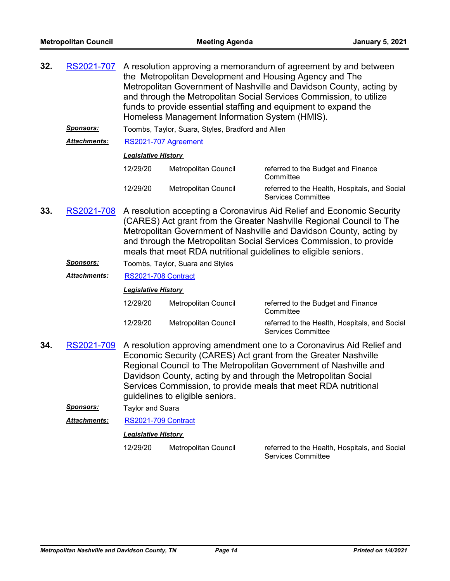| 32. | RS2021-707          | A resolution approving a memorandum of agreement by and between<br>the Metropolitan Development and Housing Agency and The<br>Metropolitan Government of Nashville and Davidson County, acting by<br>and through the Metropolitan Social Services Commission, to utilize<br>funds to provide essential staffing and equipment to expand the<br>Homeless Management Information System (HMIS). |                                                   |                                                                                                                                                                                                                                                                                                                                                                |  |
|-----|---------------------|-----------------------------------------------------------------------------------------------------------------------------------------------------------------------------------------------------------------------------------------------------------------------------------------------------------------------------------------------------------------------------------------------|---------------------------------------------------|----------------------------------------------------------------------------------------------------------------------------------------------------------------------------------------------------------------------------------------------------------------------------------------------------------------------------------------------------------------|--|
|     | <b>Sponsors:</b>    |                                                                                                                                                                                                                                                                                                                                                                                               | Toombs, Taylor, Suara, Styles, Bradford and Allen |                                                                                                                                                                                                                                                                                                                                                                |  |
|     | <b>Attachments:</b> | RS2021-707 Agreement                                                                                                                                                                                                                                                                                                                                                                          |                                                   |                                                                                                                                                                                                                                                                                                                                                                |  |
|     |                     | <b>Legislative History</b>                                                                                                                                                                                                                                                                                                                                                                    |                                                   |                                                                                                                                                                                                                                                                                                                                                                |  |
|     |                     | 12/29/20                                                                                                                                                                                                                                                                                                                                                                                      | <b>Metropolitan Council</b>                       | referred to the Budget and Finance<br>Committee                                                                                                                                                                                                                                                                                                                |  |
|     |                     | 12/29/20                                                                                                                                                                                                                                                                                                                                                                                      | Metropolitan Council                              | referred to the Health, Hospitals, and Social<br><b>Services Committee</b>                                                                                                                                                                                                                                                                                     |  |
| 33. | RS2021-708          |                                                                                                                                                                                                                                                                                                                                                                                               |                                                   | A resolution accepting a Coronavirus Aid Relief and Economic Security<br>(CARES) Act grant from the Greater Nashville Regional Council to The<br>Metropolitan Government of Nashville and Davidson County, acting by<br>and through the Metropolitan Social Services Commission, to provide<br>meals that meet RDA nutritional guidelines to eligible seniors. |  |
|     | <b>Sponsors:</b>    |                                                                                                                                                                                                                                                                                                                                                                                               | Toombs, Taylor, Suara and Styles                  |                                                                                                                                                                                                                                                                                                                                                                |  |
|     | <b>Attachments:</b> | RS2021-708 Contract                                                                                                                                                                                                                                                                                                                                                                           |                                                   |                                                                                                                                                                                                                                                                                                                                                                |  |
|     |                     | <b>Legislative History</b>                                                                                                                                                                                                                                                                                                                                                                    |                                                   |                                                                                                                                                                                                                                                                                                                                                                |  |
|     |                     |                                                                                                                                                                                                                                                                                                                                                                                               | $10/20/20$ Metropolitan Council                   | roforrod to the Dudget and Finance                                                                                                                                                                                                                                                                                                                             |  |

| 12/29/20 | Metropolitan Council | referred to the Budget and Finance<br>Committee                     |
|----------|----------------------|---------------------------------------------------------------------|
| 12/29/20 | Metropolitan Council | referred to the Health, Hospitals, and Social<br>Services Committee |

- **34.** [RS2021-709](http://nashville.legistar.com/gateway.aspx?m=l&id=/matter.aspx?key=1780) A resolution approving amendment one to a Coronavirus Aid Relief and Economic Security (CARES) Act grant from the Greater Nashville Regional Council to The Metropolitan Government of Nashville and Davidson County, acting by and through the Metropolitan Social Services Commission, to provide meals that meet RDA nutritional guidelines to eligible seniors.
	- *Sponsors:* Taylor and Suara

*Attachments:* [RS2021-709 Contract](http://nashville.legistar.com/gateway.aspx?M=F&ID=244aacad-8908-462f-a801-c8df096054a4.pdf)

#### *Legislative History*

12/29/20 Metropolitan Council referred to the Health, Hospitals, and Social Services Committee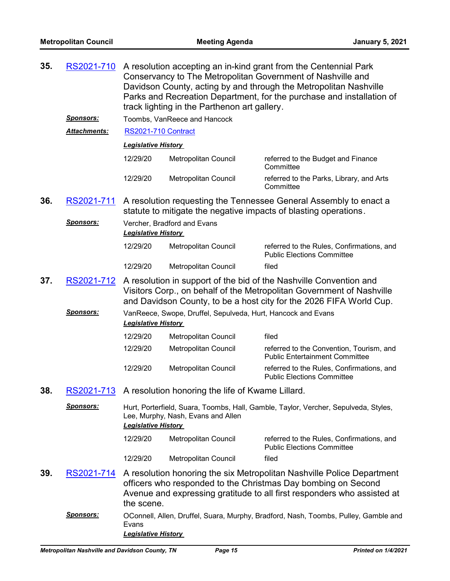| 35. | RS2021-710        | A resolution accepting an in-kind grant from the Centennial Park<br>Conservancy to The Metropolitan Government of Nashville and<br>Davidson County, acting by and through the Metropolitan Nashville<br>Parks and Recreation Department, for the purchase and installation of<br>track lighting in the Parthenon art gallery. |                                                  |                                                                                                                                                                                                                    |  |  |
|-----|-------------------|-------------------------------------------------------------------------------------------------------------------------------------------------------------------------------------------------------------------------------------------------------------------------------------------------------------------------------|--------------------------------------------------|--------------------------------------------------------------------------------------------------------------------------------------------------------------------------------------------------------------------|--|--|
|     | <u>Sponsors:</u>  |                                                                                                                                                                                                                                                                                                                               | Toombs, VanReece and Hancock                     |                                                                                                                                                                                                                    |  |  |
|     | Attachments:      | <b>RS2021-710 Contract</b>                                                                                                                                                                                                                                                                                                    |                                                  |                                                                                                                                                                                                                    |  |  |
|     |                   | <b>Legislative History</b>                                                                                                                                                                                                                                                                                                    |                                                  |                                                                                                                                                                                                                    |  |  |
|     |                   | 12/29/20                                                                                                                                                                                                                                                                                                                      | Metropolitan Council                             | referred to the Budget and Finance<br>Committee                                                                                                                                                                    |  |  |
|     |                   | 12/29/20                                                                                                                                                                                                                                                                                                                      | Metropolitan Council                             | referred to the Parks, Library, and Arts<br>Committee                                                                                                                                                              |  |  |
| 36. | RS2021-711        |                                                                                                                                                                                                                                                                                                                               |                                                  | A resolution requesting the Tennessee General Assembly to enact a<br>statute to mitigate the negative impacts of blasting operations.                                                                              |  |  |
|     | <b>Sponsors:</b>  | <b>Legislative History</b>                                                                                                                                                                                                                                                                                                    | Vercher, Bradford and Evans                      |                                                                                                                                                                                                                    |  |  |
|     |                   | 12/29/20                                                                                                                                                                                                                                                                                                                      | Metropolitan Council                             | referred to the Rules, Confirmations, and<br><b>Public Elections Committee</b>                                                                                                                                     |  |  |
|     |                   | 12/29/20                                                                                                                                                                                                                                                                                                                      | Metropolitan Council                             | filed                                                                                                                                                                                                              |  |  |
| 37. | RS2021-712        | A resolution in support of the bid of the Nashville Convention and<br>Visitors Corp., on behalf of the Metropolitan Government of Nashville<br>and Davidson County, to be a host city for the 2026 FIFA World Cup.                                                                                                            |                                                  |                                                                                                                                                                                                                    |  |  |
|     | <b>Sponsors:</b>  | VanReece, Swope, Druffel, Sepulveda, Hurt, Hancock and Evans<br><b>Legislative History</b>                                                                                                                                                                                                                                    |                                                  |                                                                                                                                                                                                                    |  |  |
|     |                   | 12/29/20                                                                                                                                                                                                                                                                                                                      | Metropolitan Council                             | filed                                                                                                                                                                                                              |  |  |
|     |                   | 12/29/20                                                                                                                                                                                                                                                                                                                      | Metropolitan Council                             | referred to the Convention, Tourism, and<br><b>Public Entertainment Committee</b>                                                                                                                                  |  |  |
|     |                   | 12/29/20                                                                                                                                                                                                                                                                                                                      | Metropolitan Council                             | referred to the Rules, Confirmations, and<br><b>Public Elections Committee</b>                                                                                                                                     |  |  |
| 38. | RS2021-713        |                                                                                                                                                                                                                                                                                                                               | A resolution honoring the life of Kwame Lillard. |                                                                                                                                                                                                                    |  |  |
|     | <u>Sponsors:</u>  | <b>Legislative History</b>                                                                                                                                                                                                                                                                                                    | Lee, Murphy, Nash, Evans and Allen               | Hurt, Porterfield, Suara, Toombs, Hall, Gamble, Taylor, Vercher, Sepulveda, Styles,                                                                                                                                |  |  |
|     |                   | 12/29/20                                                                                                                                                                                                                                                                                                                      | Metropolitan Council                             | referred to the Rules, Confirmations, and<br><b>Public Elections Committee</b>                                                                                                                                     |  |  |
|     |                   | 12/29/20                                                                                                                                                                                                                                                                                                                      | <b>Metropolitan Council</b>                      | filed                                                                                                                                                                                                              |  |  |
| 39. | RS2021-714        | the scene.                                                                                                                                                                                                                                                                                                                    |                                                  | A resolution honoring the six Metropolitan Nashville Police Department<br>officers who responded to the Christmas Day bombing on Second<br>Avenue and expressing gratitude to all first responders who assisted at |  |  |
|     | <u> Sponsors:</u> | OConnell, Allen, Druffel, Suara, Murphy, Bradford, Nash, Toombs, Pulley, Gamble and<br>Evans<br><b>Legislative History</b>                                                                                                                                                                                                    |                                                  |                                                                                                                                                                                                                    |  |  |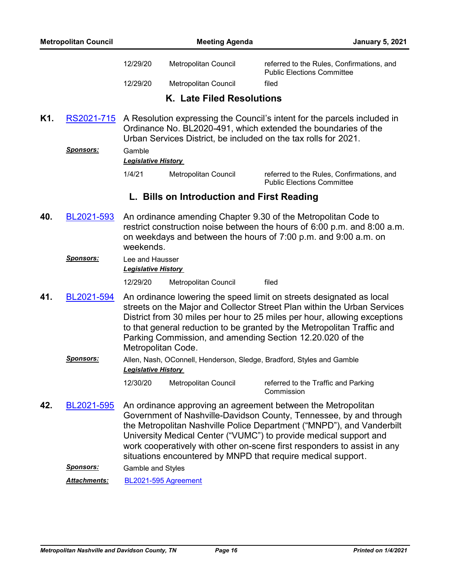| <b>Metropolitan Council</b> |                                                          |                                                                                                                                                                                                               | <b>Meeting Agenda</b>     | <b>January 5, 2021</b>                                                         |  |
|-----------------------------|----------------------------------------------------------|---------------------------------------------------------------------------------------------------------------------------------------------------------------------------------------------------------------|---------------------------|--------------------------------------------------------------------------------|--|
|                             |                                                          | 12/29/20                                                                                                                                                                                                      | Metropolitan Council      | referred to the Rules, Confirmations, and<br><b>Public Elections Committee</b> |  |
|                             |                                                          | 12/29/20                                                                                                                                                                                                      | Metropolitan Council      | filed                                                                          |  |
|                             |                                                          |                                                                                                                                                                                                               | K. Late Filed Resolutions |                                                                                |  |
| K <sub>1</sub> .            | RS2021-715                                               | A Resolution expressing the Council's intent for the parcels included in<br>Ordinance No. BL2020-491, which extended the boundaries of the<br>Urban Services District, be included on the tax rolls for 2021. |                           |                                                                                |  |
|                             | <b>Sponsors:</b><br>Gamble<br><b>Legislative History</b> |                                                                                                                                                                                                               |                           |                                                                                |  |
|                             |                                                          | 1/4/21                                                                                                                                                                                                        | Metropolitan Council      | referred to the Rules, Confirmations, and<br><b>Public Elections Committee</b> |  |

## **L. Bills on Introduction and First Reading**

- An ordinance amending Chapter 9.30 of the Metropolitan Code to restrict construction noise between the hours of 6:00 p.m. and 8:00 a.m. on weekdays and between the hours of 7:00 p.m. and 9:00 a.m. on weekends. **40.** [BL2021-593](http://nashville.legistar.com/gateway.aspx?m=l&id=/matter.aspx?key=1796)
	- *Sponsors:* Lee and Hausser *Legislative History*  12/29/20 Metropolitan Council filed
- An ordinance lowering the speed limit on streets designated as local streets on the Major and Collector Street Plan within the Urban Services District from 30 miles per hour to 25 miles per hour, allowing exceptions to that general reduction to be granted by the Metropolitan Traffic and Parking Commission, and amending Section 12.20.020 of the Metropolitan Code. **41.** [BL2021-594](http://nashville.legistar.com/gateway.aspx?m=l&id=/matter.aspx?key=1784)
	- *Sponsors:* Allen, Nash, OConnell, Henderson, Sledge, Bradford, Styles and Gamble *Legislative History* 
		- 12/30/20 Metropolitan Council referred to the Traffic and Parking Commission
- An ordinance approving an agreement between the Metropolitan Government of Nashville-Davidson County, Tennessee, by and through the Metropolitan Nashville Police Department ("MNPD"), and Vanderbilt University Medical Center ("VUMC") to provide medical support and work cooperatively with other on-scene first responders to assist in any situations encountered by MNPD that require medical support. **42.** [BL2021-595](http://nashville.legistar.com/gateway.aspx?m=l&id=/matter.aspx?key=1771)

*Sponsors:* Gamble and Styles

*Attachments:* [BL2021-595 Agreement](http://nashville.legistar.com/gateway.aspx?M=F&ID=8a695732-f328-4608-8997-63ee07e012dd.pdf)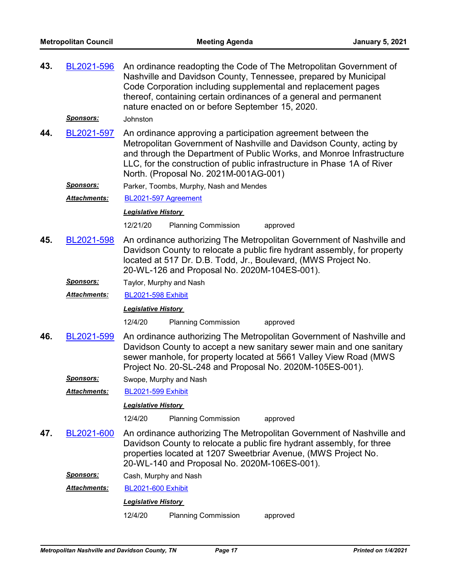| 43. | BL2021-596<br>Sponsors: | An ordinance readopting the Code of The Metropolitan Government of<br>Nashville and Davidson County, Tennessee, prepared by Municipal<br>Code Corporation including supplemental and replacement pages<br>thereof, containing certain ordinances of a general and permanent<br>nature enacted on or before September 15, 2020.<br>Johnston |  |  |  |  |
|-----|-------------------------|--------------------------------------------------------------------------------------------------------------------------------------------------------------------------------------------------------------------------------------------------------------------------------------------------------------------------------------------|--|--|--|--|
| 44. | BL2021-597              | An ordinance approving a participation agreement between the<br>Metropolitan Government of Nashville and Davidson County, acting by<br>and through the Department of Public Works, and Monroe Infrastructure<br>LLC, for the construction of public infrastructure in Phase 1A of River<br>North. (Proposal No. 2021M-001AG-001)           |  |  |  |  |
|     | <u>Sponsors:</u>        | Parker, Toombs, Murphy, Nash and Mendes                                                                                                                                                                                                                                                                                                    |  |  |  |  |
|     | Attachments:            | BL2021-597 Agreement                                                                                                                                                                                                                                                                                                                       |  |  |  |  |
|     |                         | <b>Legislative History</b>                                                                                                                                                                                                                                                                                                                 |  |  |  |  |
|     |                         | 12/21/20<br><b>Planning Commission</b><br>approved                                                                                                                                                                                                                                                                                         |  |  |  |  |
| 45. | BL2021-598              | An ordinance authorizing The Metropolitan Government of Nashville and<br>Davidson County to relocate a public fire hydrant assembly, for property<br>located at 517 Dr. D.B. Todd, Jr., Boulevard, (MWS Project No.<br>20-WL-126 and Proposal No. 2020M-104ES-001).                                                                        |  |  |  |  |
|     | Sponsors:               | Taylor, Murphy and Nash                                                                                                                                                                                                                                                                                                                    |  |  |  |  |
|     | Attachments:            | <b>BL2021-598 Exhibit</b>                                                                                                                                                                                                                                                                                                                  |  |  |  |  |
|     |                         | <b>Legislative History</b>                                                                                                                                                                                                                                                                                                                 |  |  |  |  |
|     |                         | 12/4/20<br><b>Planning Commission</b><br>approved                                                                                                                                                                                                                                                                                          |  |  |  |  |
| 46. | BL2021-599              | An ordinance authorizing The Metropolitan Government of Nashville and<br>Davidson County to accept a new sanitary sewer main and one sanitary<br>sewer manhole, for property located at 5661 Valley View Road (MWS<br>Project No. 20-SL-248 and Proposal No. 2020M-105ES-001).                                                             |  |  |  |  |
|     | <b>Sponsors:</b>        | Swope, Murphy and Nash                                                                                                                                                                                                                                                                                                                     |  |  |  |  |
|     | Attachments:            | <b>BL2021-599 Exhibit</b>                                                                                                                                                                                                                                                                                                                  |  |  |  |  |
|     |                         | <b>Legislative History</b>                                                                                                                                                                                                                                                                                                                 |  |  |  |  |
|     |                         | 12/4/20<br><b>Planning Commission</b><br>approved                                                                                                                                                                                                                                                                                          |  |  |  |  |
| 47. | BL2021-600              | An ordinance authorizing The Metropolitan Government of Nashville and<br>Davidson County to relocate a public fire hydrant assembly, for three<br>properties located at 1207 Sweetbriar Avenue, (MWS Project No.<br>20-WL-140 and Proposal No. 2020M-106ES-001).                                                                           |  |  |  |  |
|     | <b>Sponsors:</b>        | Cash, Murphy and Nash                                                                                                                                                                                                                                                                                                                      |  |  |  |  |
|     | Attachments:            | <b>BL2021-600 Exhibit</b>                                                                                                                                                                                                                                                                                                                  |  |  |  |  |
|     |                         | <b>Legislative History</b>                                                                                                                                                                                                                                                                                                                 |  |  |  |  |
|     |                         | 12/4/20<br><b>Planning Commission</b><br>approved                                                                                                                                                                                                                                                                                          |  |  |  |  |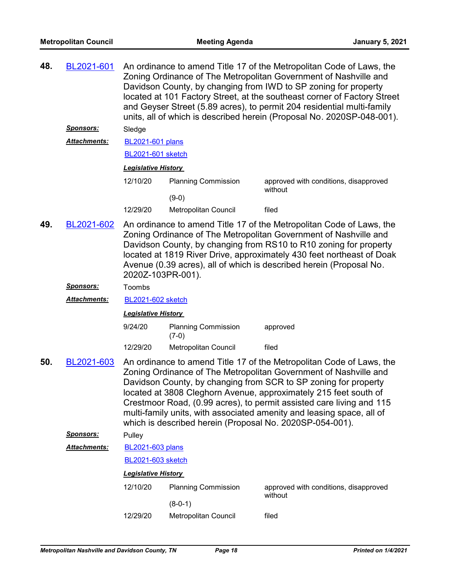| 48. | BL2021-601          | An ordinance to amend Title 17 of the Metropolitan Code of Laws, the<br>Zoning Ordinance of The Metropolitan Government of Nashville and<br>Davidson County, by changing from IWD to SP zoning for property<br>located at 101 Factory Street, at the southeast corner of Factory Street<br>and Geyser Street (5.89 acres), to permit 204 residential multi-family<br>units, all of which is described herein (Proposal No. 2020SP-048-001).                                                  |                                       |                                                  |  |
|-----|---------------------|----------------------------------------------------------------------------------------------------------------------------------------------------------------------------------------------------------------------------------------------------------------------------------------------------------------------------------------------------------------------------------------------------------------------------------------------------------------------------------------------|---------------------------------------|--------------------------------------------------|--|
|     | Sponsors:           | Sledge                                                                                                                                                                                                                                                                                                                                                                                                                                                                                       |                                       |                                                  |  |
|     | <b>Attachments:</b> | <b>BL2021-601 plans</b>                                                                                                                                                                                                                                                                                                                                                                                                                                                                      |                                       |                                                  |  |
|     |                     | BL2021-601 sketch                                                                                                                                                                                                                                                                                                                                                                                                                                                                            |                                       |                                                  |  |
|     |                     | <b>Legislative History</b>                                                                                                                                                                                                                                                                                                                                                                                                                                                                   |                                       |                                                  |  |
|     |                     | 12/10/20                                                                                                                                                                                                                                                                                                                                                                                                                                                                                     | <b>Planning Commission</b>            | approved with conditions, disapproved<br>without |  |
|     |                     |                                                                                                                                                                                                                                                                                                                                                                                                                                                                                              | $(9-0)$                               |                                                  |  |
|     |                     | 12/29/20                                                                                                                                                                                                                                                                                                                                                                                                                                                                                     | Metropolitan Council                  | filed                                            |  |
| 49. | BL2021-602          | An ordinance to amend Title 17 of the Metropolitan Code of Laws, the<br>Zoning Ordinance of The Metropolitan Government of Nashville and<br>Davidson County, by changing from RS10 to R10 zoning for property<br>located at 1819 River Drive, approximately 430 feet northeast of Doak<br>Avenue (0.39 acres), all of which is described herein (Proposal No.<br>2020Z-103PR-001).                                                                                                           |                                       |                                                  |  |
|     | Sponsors:           | Toombs                                                                                                                                                                                                                                                                                                                                                                                                                                                                                       |                                       |                                                  |  |
|     | Attachments:        | <b>BL2021-602 sketch</b>                                                                                                                                                                                                                                                                                                                                                                                                                                                                     |                                       |                                                  |  |
|     |                     | <b>Legislative History</b>                                                                                                                                                                                                                                                                                                                                                                                                                                                                   |                                       |                                                  |  |
|     |                     | 9/24/20                                                                                                                                                                                                                                                                                                                                                                                                                                                                                      | <b>Planning Commission</b><br>$(7-0)$ | approved                                         |  |
|     |                     | 12/29/20                                                                                                                                                                                                                                                                                                                                                                                                                                                                                     | Metropolitan Council                  | filed                                            |  |
| 50. | BL2021-603          | An ordinance to amend Title 17 of the Metropolitan Code of Laws, the<br>Zoning Ordinance of The Metropolitan Government of Nashville and<br>Davidson County, by changing from SCR to SP zoning for property<br>located at 3808 Cleghorn Avenue, approximately 215 feet south of<br>Crestmoor Road, (0.99 acres), to permit assisted care living and 115<br>multi-family units, with associated amenity and leasing space, all of<br>which is described herein (Proposal No. 2020SP-054-001). |                                       |                                                  |  |
|     | Sponsors:           | Pulley                                                                                                                                                                                                                                                                                                                                                                                                                                                                                       |                                       |                                                  |  |
|     | <b>Attachments:</b> | <b>BL2021-603 plans</b>                                                                                                                                                                                                                                                                                                                                                                                                                                                                      |                                       |                                                  |  |
|     |                     | BL2021-603 sketch                                                                                                                                                                                                                                                                                                                                                                                                                                                                            |                                       |                                                  |  |
|     |                     | <b>Legislative History</b>                                                                                                                                                                                                                                                                                                                                                                                                                                                                   |                                       |                                                  |  |
|     |                     | 12/10/20                                                                                                                                                                                                                                                                                                                                                                                                                                                                                     | <b>Planning Commission</b>            | approved with conditions, disapproved<br>without |  |
|     |                     |                                                                                                                                                                                                                                                                                                                                                                                                                                                                                              | $(8-0-1)$                             |                                                  |  |
|     |                     | 12/29/20                                                                                                                                                                                                                                                                                                                                                                                                                                                                                     | Metropolitan Council                  | filed                                            |  |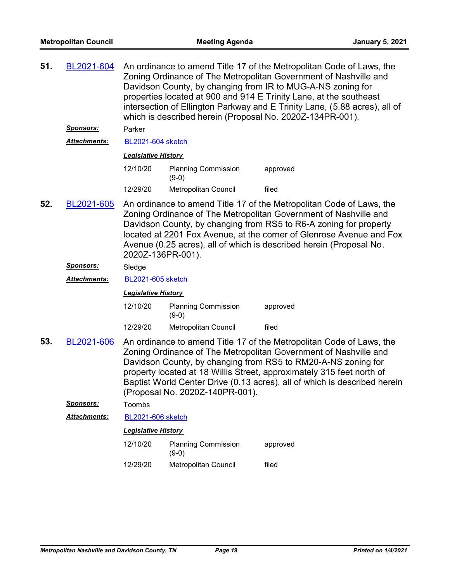| 51.                                    | BL2021-604          | An ordinance to amend Title 17 of the Metropolitan Code of Laws, the<br>Zoning Ordinance of The Metropolitan Government of Nashville and<br>Davidson County, by changing from IR to MUG-A-NS zoning for<br>properties located at 900 and 914 E Trinity Lane, at the southeast<br>intersection of Ellington Parkway and E Trinity Lane, (5.88 acres), all of<br>which is described herein (Proposal No. 2020Z-134PR-001). |                                                                                                                                                                                                                                                                                                                                                              |                                                                                                                                                                                                                                                                                                                                                                 |  |
|----------------------------------------|---------------------|--------------------------------------------------------------------------------------------------------------------------------------------------------------------------------------------------------------------------------------------------------------------------------------------------------------------------------------------------------------------------------------------------------------------------|--------------------------------------------------------------------------------------------------------------------------------------------------------------------------------------------------------------------------------------------------------------------------------------------------------------------------------------------------------------|-----------------------------------------------------------------------------------------------------------------------------------------------------------------------------------------------------------------------------------------------------------------------------------------------------------------------------------------------------------------|--|
|                                        | <b>Sponsors:</b>    | Parker                                                                                                                                                                                                                                                                                                                                                                                                                   |                                                                                                                                                                                                                                                                                                                                                              |                                                                                                                                                                                                                                                                                                                                                                 |  |
|                                        | <b>Attachments:</b> | <b>BL2021-604 sketch</b>                                                                                                                                                                                                                                                                                                                                                                                                 |                                                                                                                                                                                                                                                                                                                                                              |                                                                                                                                                                                                                                                                                                                                                                 |  |
|                                        |                     | <b>Legislative History</b>                                                                                                                                                                                                                                                                                                                                                                                               |                                                                                                                                                                                                                                                                                                                                                              |                                                                                                                                                                                                                                                                                                                                                                 |  |
|                                        |                     | 12/10/20                                                                                                                                                                                                                                                                                                                                                                                                                 | <b>Planning Commission</b><br>$(9-0)$                                                                                                                                                                                                                                                                                                                        | approved                                                                                                                                                                                                                                                                                                                                                        |  |
|                                        |                     | 12/29/20                                                                                                                                                                                                                                                                                                                                                                                                                 | Metropolitan Council                                                                                                                                                                                                                                                                                                                                         | filed                                                                                                                                                                                                                                                                                                                                                           |  |
| 52.<br>BL2021-605<br>2020Z-136PR-001). |                     |                                                                                                                                                                                                                                                                                                                                                                                                                          | An ordinance to amend Title 17 of the Metropolitan Code of Laws, the<br>Zoning Ordinance of The Metropolitan Government of Nashville and<br>Davidson County, by changing from RS5 to R6-A zoning for property<br>located at 2201 Fox Avenue, at the corner of Glenrose Avenue and Fox<br>Avenue (0.25 acres), all of which is described herein (Proposal No. |                                                                                                                                                                                                                                                                                                                                                                 |  |
|                                        | <b>Sponsors:</b>    | Sledge                                                                                                                                                                                                                                                                                                                                                                                                                   |                                                                                                                                                                                                                                                                                                                                                              |                                                                                                                                                                                                                                                                                                                                                                 |  |
|                                        | Attachments:        | <b>BL2021-605 sketch</b>                                                                                                                                                                                                                                                                                                                                                                                                 |                                                                                                                                                                                                                                                                                                                                                              |                                                                                                                                                                                                                                                                                                                                                                 |  |
|                                        |                     | <b>Legislative History</b>                                                                                                                                                                                                                                                                                                                                                                                               |                                                                                                                                                                                                                                                                                                                                                              |                                                                                                                                                                                                                                                                                                                                                                 |  |
|                                        |                     | 12/10/20                                                                                                                                                                                                                                                                                                                                                                                                                 | <b>Planning Commission</b><br>$(9-0)$                                                                                                                                                                                                                                                                                                                        | approved                                                                                                                                                                                                                                                                                                                                                        |  |
|                                        |                     | 12/29/20                                                                                                                                                                                                                                                                                                                                                                                                                 | Metropolitan Council                                                                                                                                                                                                                                                                                                                                         | filed                                                                                                                                                                                                                                                                                                                                                           |  |
| 53.                                    | BL2021-606          |                                                                                                                                                                                                                                                                                                                                                                                                                          | (Proposal No. 2020Z-140PR-001).                                                                                                                                                                                                                                                                                                                              | An ordinance to amend Title 17 of the Metropolitan Code of Laws, the<br>Zoning Ordinance of The Metropolitan Government of Nashville and<br>Davidson County, by changing from RS5 to RM20-A-NS zoning for<br>property located at 18 Willis Street, approximately 315 feet north of<br>Baptist World Center Drive (0.13 acres), all of which is described herein |  |
|                                        | <u>Sponsors:</u>    | Toombs                                                                                                                                                                                                                                                                                                                                                                                                                   |                                                                                                                                                                                                                                                                                                                                                              |                                                                                                                                                                                                                                                                                                                                                                 |  |
|                                        | Attachments:        | <b>BL2021-606 sketch</b>                                                                                                                                                                                                                                                                                                                                                                                                 |                                                                                                                                                                                                                                                                                                                                                              |                                                                                                                                                                                                                                                                                                                                                                 |  |
|                                        |                     | <b>Legislative History</b>                                                                                                                                                                                                                                                                                                                                                                                               |                                                                                                                                                                                                                                                                                                                                                              |                                                                                                                                                                                                                                                                                                                                                                 |  |
|                                        |                     | 12/10/20                                                                                                                                                                                                                                                                                                                                                                                                                 | <b>Planning Commission</b><br>$(9-0)$                                                                                                                                                                                                                                                                                                                        | approved                                                                                                                                                                                                                                                                                                                                                        |  |
|                                        |                     | 12/29/20                                                                                                                                                                                                                                                                                                                                                                                                                 | Metropolitan Council                                                                                                                                                                                                                                                                                                                                         | filed                                                                                                                                                                                                                                                                                                                                                           |  |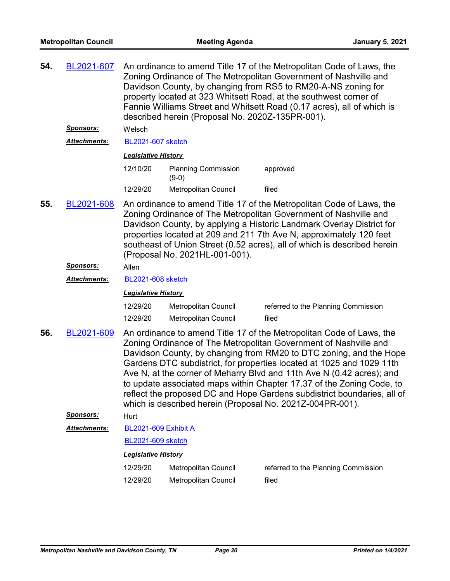| 54.                                                                                                                                                                                                                                                                                                                                                                                                                                                                                                                                                                                                    | BL2021-607                                                                                                                                                                                                                                                                                                                                                                                                           | An ordinance to amend Title 17 of the Metropolitan Code of Laws, the<br>Zoning Ordinance of The Metropolitan Government of Nashville and<br>Davidson County, by changing from RS5 to RM20-A-NS zoning for<br>property located at 323 Whitsett Road, at the southwest corner of<br>Fannie Williams Street and Whitsett Road (0.17 acres), all of which is<br>described herein (Proposal No. 2020Z-135PR-001). |                                              |                                              |  |
|--------------------------------------------------------------------------------------------------------------------------------------------------------------------------------------------------------------------------------------------------------------------------------------------------------------------------------------------------------------------------------------------------------------------------------------------------------------------------------------------------------------------------------------------------------------------------------------------------------|----------------------------------------------------------------------------------------------------------------------------------------------------------------------------------------------------------------------------------------------------------------------------------------------------------------------------------------------------------------------------------------------------------------------|--------------------------------------------------------------------------------------------------------------------------------------------------------------------------------------------------------------------------------------------------------------------------------------------------------------------------------------------------------------------------------------------------------------|----------------------------------------------|----------------------------------------------|--|
|                                                                                                                                                                                                                                                                                                                                                                                                                                                                                                                                                                                                        | <b>Sponsors:</b>                                                                                                                                                                                                                                                                                                                                                                                                     | Welsch                                                                                                                                                                                                                                                                                                                                                                                                       |                                              |                                              |  |
|                                                                                                                                                                                                                                                                                                                                                                                                                                                                                                                                                                                                        | <b>Attachments:</b>                                                                                                                                                                                                                                                                                                                                                                                                  | <b>BL2021-607 sketch</b>                                                                                                                                                                                                                                                                                                                                                                                     |                                              |                                              |  |
|                                                                                                                                                                                                                                                                                                                                                                                                                                                                                                                                                                                                        |                                                                                                                                                                                                                                                                                                                                                                                                                      | <b>Legislative History</b>                                                                                                                                                                                                                                                                                                                                                                                   |                                              |                                              |  |
|                                                                                                                                                                                                                                                                                                                                                                                                                                                                                                                                                                                                        |                                                                                                                                                                                                                                                                                                                                                                                                                      | 12/10/20                                                                                                                                                                                                                                                                                                                                                                                                     | <b>Planning Commission</b><br>$(9-0)$        | approved                                     |  |
|                                                                                                                                                                                                                                                                                                                                                                                                                                                                                                                                                                                                        |                                                                                                                                                                                                                                                                                                                                                                                                                      | 12/29/20                                                                                                                                                                                                                                                                                                                                                                                                     | Metropolitan Council                         | filed                                        |  |
| 55.                                                                                                                                                                                                                                                                                                                                                                                                                                                                                                                                                                                                    | BL2021-608<br>An ordinance to amend Title 17 of the Metropolitan Code of Laws, the<br>Zoning Ordinance of The Metropolitan Government of Nashville and<br>Davidson County, by applying a Historic Landmark Overlay District for<br>properties located at 209 and 211 7th Ave N, approximately 120 feet<br>southeast of Union Street (0.52 acres), all of which is described herein<br>(Proposal No. 2021HL-001-001). |                                                                                                                                                                                                                                                                                                                                                                                                              |                                              |                                              |  |
|                                                                                                                                                                                                                                                                                                                                                                                                                                                                                                                                                                                                        | <b>Sponsors:</b>                                                                                                                                                                                                                                                                                                                                                                                                     | Allen                                                                                                                                                                                                                                                                                                                                                                                                        |                                              |                                              |  |
|                                                                                                                                                                                                                                                                                                                                                                                                                                                                                                                                                                                                        | Attachments:                                                                                                                                                                                                                                                                                                                                                                                                         | <b>BL2021-608 sketch</b>                                                                                                                                                                                                                                                                                                                                                                                     |                                              |                                              |  |
|                                                                                                                                                                                                                                                                                                                                                                                                                                                                                                                                                                                                        |                                                                                                                                                                                                                                                                                                                                                                                                                      | <b>Legislative History</b>                                                                                                                                                                                                                                                                                                                                                                                   |                                              |                                              |  |
|                                                                                                                                                                                                                                                                                                                                                                                                                                                                                                                                                                                                        |                                                                                                                                                                                                                                                                                                                                                                                                                      | 12/29/20<br>12/29/20                                                                                                                                                                                                                                                                                                                                                                                         | Metropolitan Council<br>Metropolitan Council | referred to the Planning Commission<br>filed |  |
| 56.<br>An ordinance to amend Title 17 of the Metropolitan Code of Laws, the<br>BL2021-609<br>Zoning Ordinance of The Metropolitan Government of Nashville and<br>Davidson County, by changing from RM20 to DTC zoning, and the Hope<br>Gardens DTC subdistrict, for properties located at 1025 and 1029 11th<br>Ave N, at the corner of Meharry Blvd and 11th Ave N (0.42 acres); and<br>to update associated maps within Chapter 17.37 of the Zoning Code, to<br>reflect the proposed DC and Hope Gardens subdistrict boundaries, all of<br>which is described herein (Proposal No. 2021Z-004PR-001). |                                                                                                                                                                                                                                                                                                                                                                                                                      |                                                                                                                                                                                                                                                                                                                                                                                                              |                                              |                                              |  |
|                                                                                                                                                                                                                                                                                                                                                                                                                                                                                                                                                                                                        | <b>Sponsors:</b>                                                                                                                                                                                                                                                                                                                                                                                                     | Hurt                                                                                                                                                                                                                                                                                                                                                                                                         |                                              |                                              |  |
|                                                                                                                                                                                                                                                                                                                                                                                                                                                                                                                                                                                                        | Attachments:                                                                                                                                                                                                                                                                                                                                                                                                         | BL2021-609 Exhibit A                                                                                                                                                                                                                                                                                                                                                                                         |                                              |                                              |  |
|                                                                                                                                                                                                                                                                                                                                                                                                                                                                                                                                                                                                        |                                                                                                                                                                                                                                                                                                                                                                                                                      | <b>BL2021-609 sketch</b>                                                                                                                                                                                                                                                                                                                                                                                     |                                              |                                              |  |
|                                                                                                                                                                                                                                                                                                                                                                                                                                                                                                                                                                                                        |                                                                                                                                                                                                                                                                                                                                                                                                                      | <b>Legislative History</b>                                                                                                                                                                                                                                                                                                                                                                                   |                                              |                                              |  |

| 12/29/20 | Metropolitan Council | referred to the Planning Commission |
|----------|----------------------|-------------------------------------|
| 12/29/20 | Metropolitan Council | filed                               |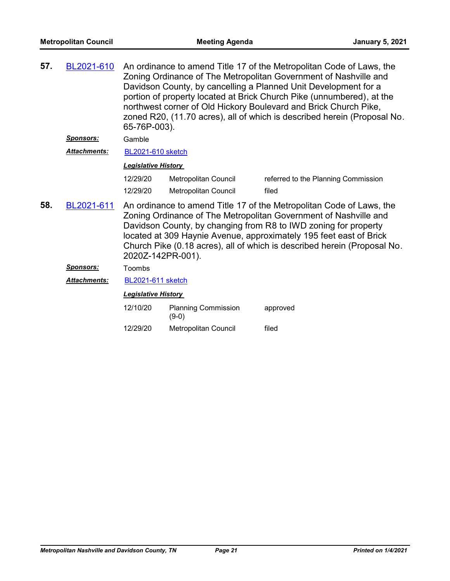| BL2021-610          | An ordinance to amend Title 17 of the Metropolitan Code of Laws, the<br>Zoning Ordinance of The Metropolitan Government of Nashville and<br>Davidson County, by cancelling a Planned Unit Development for a<br>portion of property located at Brick Church Pike (unnumbered), at the<br>northwest corner of Old Hickory Boulevard and Brick Church Pike,<br>zoned R20, (11.70 acres), all of which is described herein (Proposal No.<br>65-76P-003). |                                       |                                                                                                                                                                                                    |  |
|---------------------|------------------------------------------------------------------------------------------------------------------------------------------------------------------------------------------------------------------------------------------------------------------------------------------------------------------------------------------------------------------------------------------------------------------------------------------------------|---------------------------------------|----------------------------------------------------------------------------------------------------------------------------------------------------------------------------------------------------|--|
| <u>Sponsors:</u>    | Gamble                                                                                                                                                                                                                                                                                                                                                                                                                                               |                                       |                                                                                                                                                                                                    |  |
| <b>Attachments:</b> |                                                                                                                                                                                                                                                                                                                                                                                                                                                      |                                       |                                                                                                                                                                                                    |  |
|                     |                                                                                                                                                                                                                                                                                                                                                                                                                                                      |                                       |                                                                                                                                                                                                    |  |
|                     | 12/29/20                                                                                                                                                                                                                                                                                                                                                                                                                                             | Metropolitan Council                  | referred to the Planning Commission                                                                                                                                                                |  |
|                     | 12/29/20                                                                                                                                                                                                                                                                                                                                                                                                                                             | Metropolitan Council                  | filed                                                                                                                                                                                              |  |
| BL2021-611          |                                                                                                                                                                                                                                                                                                                                                                                                                                                      |                                       | Davidson County, by changing from R8 to IWD zoning for property                                                                                                                                    |  |
|                     | 2020Z-142PR-001).                                                                                                                                                                                                                                                                                                                                                                                                                                    |                                       | located at 309 Haynie Avenue, approximately 195 feet east of Brick<br>Church Pike (0.18 acres), all of which is described herein (Proposal No.                                                     |  |
| <u>Sponsors:</u>    | Toombs                                                                                                                                                                                                                                                                                                                                                                                                                                               |                                       |                                                                                                                                                                                                    |  |
| <b>Attachments:</b> | BL2021-611 sketch                                                                                                                                                                                                                                                                                                                                                                                                                                    |                                       |                                                                                                                                                                                                    |  |
|                     | <b>Legislative History</b>                                                                                                                                                                                                                                                                                                                                                                                                                           |                                       |                                                                                                                                                                                                    |  |
|                     | 12/10/20                                                                                                                                                                                                                                                                                                                                                                                                                                             | <b>Planning Commission</b><br>$(9-0)$ | approved                                                                                                                                                                                           |  |
|                     |                                                                                                                                                                                                                                                                                                                                                                                                                                                      |                                       | <b>BL2021-610 sketch</b><br><b>Legislative History</b><br>An ordinance to amend Title 17 of the Metropolitan Code of Laws, the<br>Zoning Ordinance of The Metropolitan Government of Nashville and |  |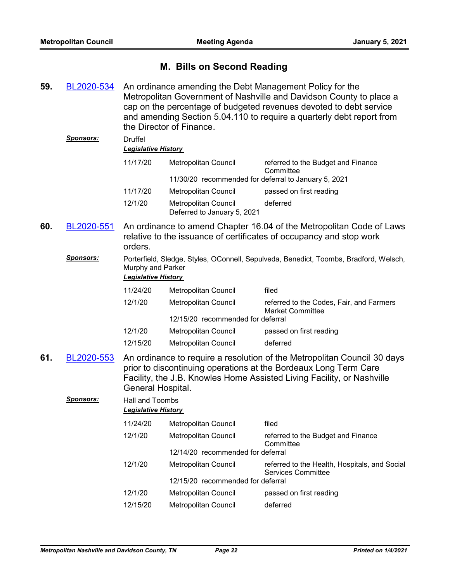## **M. Bills on Second Reading**

An ordinance amending the Debt Management Policy for the Metropolitan Government of Nashville and Davidson County to place a cap on the percentage of budgeted revenues devoted to debt service and amending Section 5.04.110 to require a quarterly debt report from the Director of Finance. **59.** [BL2020-534](http://nashville.legistar.com/gateway.aspx?m=l&id=/matter.aspx?key=1648) *Sponsors:* Druffel *Legislative History*  11/17/20 Metropolitan Council referred to the Budget and Finance **Committee** 11/30/20 recommended for deferral to January 5, 2021 11/17/20 Metropolitan Council passed on first reading 12/1/20 Metropolitan Council deferred Deferred to January 5, 2021 An ordinance to amend Chapter 16.04 of the Metropolitan Code of Laws relative to the issuance of certificates of occupancy and stop work orders. **60.** [BL2020-551](http://nashville.legistar.com/gateway.aspx?m=l&id=/matter.aspx?key=1703) *Sponsors:* Porterfield, Sledge, Styles, OConnell, Sepulveda, Benedict, Toombs, Bradford, Welsch, Murphy and Parker *Legislative History*  11/24/20 Metropolitan Council filed 12/1/20 Metropolitan Council referred to the Codes, Fair, and Farmers Market Committee 12/15/20 recommended for deferral 12/1/20 Metropolitan Council passed on first reading 12/15/20 Metropolitan Council deferred An ordinance to require a resolution of the Metropolitan Council 30 days prior to discontinuing operations at the Bordeaux Long Term Care Facility, the J.B. Knowles Home Assisted Living Facility, or Nashville General Hospital. **61.** [BL2020-553](http://nashville.legistar.com/gateway.aspx?m=l&id=/matter.aspx?key=1652) *Sponsors:* Hall and Toombs *Legislative History*  11/24/20 Metropolitan Council filed 12/1/20 Metropolitan Council referred to the Budget and Finance **Committee** 12/14/20 recommended for deferral 12/1/20 Metropolitan Council referred to the Health, Hospitals, and Social Services Committee 12/15/20 recommended for deferral 12/1/20 Metropolitan Council passed on first reading 12/15/20 Metropolitan Council deferred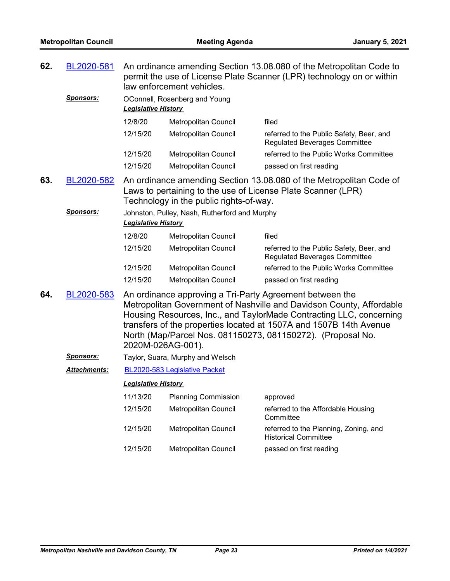| 62.<br>BL2020-581 |                     |                                  | An ordinance amending Section 13.08.080 of the Metropolitan Code to<br>permit the use of License Plate Scanner (LPR) technology on or within<br>law enforcement vehicles. |                                                                                                                                                                                                                                                                                                                                              |  |
|-------------------|---------------------|----------------------------------|---------------------------------------------------------------------------------------------------------------------------------------------------------------------------|----------------------------------------------------------------------------------------------------------------------------------------------------------------------------------------------------------------------------------------------------------------------------------------------------------------------------------------------|--|
|                   | <u>Sponsors:</u>    | <b>Legislative History</b>       | OConnell, Rosenberg and Young                                                                                                                                             |                                                                                                                                                                                                                                                                                                                                              |  |
|                   |                     | 12/8/20                          | Metropolitan Council                                                                                                                                                      | filed                                                                                                                                                                                                                                                                                                                                        |  |
|                   |                     | 12/15/20                         | Metropolitan Council                                                                                                                                                      | referred to the Public Safety, Beer, and<br><b>Regulated Beverages Committee</b>                                                                                                                                                                                                                                                             |  |
|                   |                     | 12/15/20                         | Metropolitan Council                                                                                                                                                      | referred to the Public Works Committee                                                                                                                                                                                                                                                                                                       |  |
|                   |                     | 12/15/20                         | Metropolitan Council                                                                                                                                                      | passed on first reading                                                                                                                                                                                                                                                                                                                      |  |
| 63.               | BL2020-582          |                                  | Technology in the public rights-of-way.                                                                                                                                   | An ordinance amending Section 13.08.080 of the Metropolitan Code of<br>Laws to pertaining to the use of License Plate Scanner (LPR)                                                                                                                                                                                                          |  |
|                   | <b>Sponsors:</b>    | <b>Legislative History</b>       | Johnston, Pulley, Nash, Rutherford and Murphy                                                                                                                             |                                                                                                                                                                                                                                                                                                                                              |  |
|                   |                     | 12/8/20                          | Metropolitan Council                                                                                                                                                      | filed                                                                                                                                                                                                                                                                                                                                        |  |
|                   |                     | 12/15/20                         | Metropolitan Council                                                                                                                                                      | referred to the Public Safety, Beer, and<br><b>Regulated Beverages Committee</b>                                                                                                                                                                                                                                                             |  |
|                   |                     | 12/15/20                         | Metropolitan Council                                                                                                                                                      | referred to the Public Works Committee                                                                                                                                                                                                                                                                                                       |  |
|                   |                     | 12/15/20                         | Metropolitan Council                                                                                                                                                      | passed on first reading                                                                                                                                                                                                                                                                                                                      |  |
| 64.<br>BL2020-583 |                     | 2020M-026AG-001).                |                                                                                                                                                                           | An ordinance approving a Tri-Party Agreement between the<br>Metropolitan Government of Nashville and Davidson County, Affordable<br>Housing Resources, Inc., and TaylorMade Contracting LLC, concerning<br>transfers of the properties located at 1507A and 1507B 14th Avenue<br>North (Map/Parcel Nos. 081150273, 081150272). (Proposal No. |  |
|                   | <u>Sponsors:</u>    | Taylor, Suara, Murphy and Welsch |                                                                                                                                                                           |                                                                                                                                                                                                                                                                                                                                              |  |
|                   | <b>Attachments:</b> |                                  | BL2020-583 Legislative Packet                                                                                                                                             |                                                                                                                                                                                                                                                                                                                                              |  |
|                   |                     | <b>Legislative History</b>       |                                                                                                                                                                           |                                                                                                                                                                                                                                                                                                                                              |  |
|                   |                     | 11/13/20                         | <b>Planning Commission</b>                                                                                                                                                | approved                                                                                                                                                                                                                                                                                                                                     |  |
|                   |                     | 12/15/20                         | Metropolitan Council                                                                                                                                                      | referred to the Affordable Housing<br>Committee                                                                                                                                                                                                                                                                                              |  |
|                   |                     | 12/15/20                         | Metropolitan Council                                                                                                                                                      | referred to the Planning, Zoning, and<br><b>Historical Committee</b>                                                                                                                                                                                                                                                                         |  |
|                   |                     | 12/15/20                         | <b>Metropolitan Council</b>                                                                                                                                               | passed on first reading                                                                                                                                                                                                                                                                                                                      |  |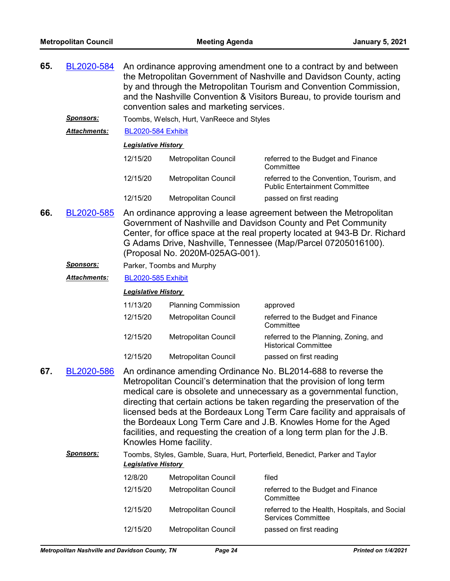| 65. | BL2020-584<br>An ordinance approving amendment one to a contract by and between<br>the Metropolitan Government of Nashville and Davidson County, acting<br>by and through the Metropolitan Tourism and Convention Commission,<br>and the Nashville Convention & Visitors Bureau, to provide tourism and<br>convention sales and marketing services. |                                                                                                                                                                                                                                                                                                                                                                                                                                                                                                                                               |                                                                                                             |                                                                                                                                                                                                                                                                                   |  |  |
|-----|-----------------------------------------------------------------------------------------------------------------------------------------------------------------------------------------------------------------------------------------------------------------------------------------------------------------------------------------------------|-----------------------------------------------------------------------------------------------------------------------------------------------------------------------------------------------------------------------------------------------------------------------------------------------------------------------------------------------------------------------------------------------------------------------------------------------------------------------------------------------------------------------------------------------|-------------------------------------------------------------------------------------------------------------|-----------------------------------------------------------------------------------------------------------------------------------------------------------------------------------------------------------------------------------------------------------------------------------|--|--|
|     | <u>Sponsors:</u>                                                                                                                                                                                                                                                                                                                                    |                                                                                                                                                                                                                                                                                                                                                                                                                                                                                                                                               | Toombs, Welsch, Hurt, VanReece and Styles                                                                   |                                                                                                                                                                                                                                                                                   |  |  |
|     | Attachments:                                                                                                                                                                                                                                                                                                                                        | <b>BL2020-584 Exhibit</b>                                                                                                                                                                                                                                                                                                                                                                                                                                                                                                                     |                                                                                                             |                                                                                                                                                                                                                                                                                   |  |  |
|     |                                                                                                                                                                                                                                                                                                                                                     | <b>Legislative History</b>                                                                                                                                                                                                                                                                                                                                                                                                                                                                                                                    |                                                                                                             |                                                                                                                                                                                                                                                                                   |  |  |
|     |                                                                                                                                                                                                                                                                                                                                                     | 12/15/20                                                                                                                                                                                                                                                                                                                                                                                                                                                                                                                                      | Metropolitan Council                                                                                        | referred to the Budget and Finance<br>Committee                                                                                                                                                                                                                                   |  |  |
|     |                                                                                                                                                                                                                                                                                                                                                     | 12/15/20                                                                                                                                                                                                                                                                                                                                                                                                                                                                                                                                      | Metropolitan Council                                                                                        | referred to the Convention, Tourism, and<br><b>Public Entertainment Committee</b>                                                                                                                                                                                                 |  |  |
|     |                                                                                                                                                                                                                                                                                                                                                     | 12/15/20                                                                                                                                                                                                                                                                                                                                                                                                                                                                                                                                      | Metropolitan Council                                                                                        | passed on first reading                                                                                                                                                                                                                                                           |  |  |
| 66. | BL2020-585                                                                                                                                                                                                                                                                                                                                          |                                                                                                                                                                                                                                                                                                                                                                                                                                                                                                                                               | (Proposal No. 2020M-025AG-001).                                                                             | An ordinance approving a lease agreement between the Metropolitan<br>Government of Nashville and Davidson County and Pet Community<br>Center, for office space at the real property located at 943-B Dr. Richard<br>G Adams Drive, Nashville, Tennessee (Map/Parcel 07205016100). |  |  |
|     | <u>Sponsors:</u>                                                                                                                                                                                                                                                                                                                                    |                                                                                                                                                                                                                                                                                                                                                                                                                                                                                                                                               | Parker, Toombs and Murphy                                                                                   |                                                                                                                                                                                                                                                                                   |  |  |
|     | <u> Attachments:</u>                                                                                                                                                                                                                                                                                                                                | <b>BL2020-585 Exhibit</b>                                                                                                                                                                                                                                                                                                                                                                                                                                                                                                                     |                                                                                                             |                                                                                                                                                                                                                                                                                   |  |  |
|     |                                                                                                                                                                                                                                                                                                                                                     | <b>Legislative History</b>                                                                                                                                                                                                                                                                                                                                                                                                                                                                                                                    |                                                                                                             |                                                                                                                                                                                                                                                                                   |  |  |
|     |                                                                                                                                                                                                                                                                                                                                                     | 11/13/20                                                                                                                                                                                                                                                                                                                                                                                                                                                                                                                                      | <b>Planning Commission</b>                                                                                  | approved                                                                                                                                                                                                                                                                          |  |  |
|     |                                                                                                                                                                                                                                                                                                                                                     | 12/15/20                                                                                                                                                                                                                                                                                                                                                                                                                                                                                                                                      | Metropolitan Council                                                                                        | referred to the Budget and Finance<br>Committee                                                                                                                                                                                                                                   |  |  |
|     |                                                                                                                                                                                                                                                                                                                                                     | 12/15/20                                                                                                                                                                                                                                                                                                                                                                                                                                                                                                                                      | Metropolitan Council                                                                                        | referred to the Planning, Zoning, and<br><b>Historical Committee</b>                                                                                                                                                                                                              |  |  |
|     |                                                                                                                                                                                                                                                                                                                                                     | 12/15/20                                                                                                                                                                                                                                                                                                                                                                                                                                                                                                                                      | Metropolitan Council                                                                                        | passed on first reading                                                                                                                                                                                                                                                           |  |  |
| 67. | BL2020-586                                                                                                                                                                                                                                                                                                                                          | An ordinance amending Ordinance No. BL2014-688 to reverse the<br>Metropolitan Council's determination that the provision of long term<br>medical care is obsolete and unnecessary as a governmental function,<br>directing that certain actions be taken regarding the preservation of the<br>licensed beds at the Bordeaux Long Term Care facility and appraisals of<br>the Bordeaux Long Term Care and J.B. Knowles Home for the Aged<br>facilities, and requesting the creation of a long term plan for the J.B.<br>Knowles Home facility. |                                                                                                             |                                                                                                                                                                                                                                                                                   |  |  |
|     | <u>Sponsors:</u>                                                                                                                                                                                                                                                                                                                                    |                                                                                                                                                                                                                                                                                                                                                                                                                                                                                                                                               | Toombs, Styles, Gamble, Suara, Hurt, Porterfield, Benedict, Parker and Taylor<br><b>Legislative History</b> |                                                                                                                                                                                                                                                                                   |  |  |
|     |                                                                                                                                                                                                                                                                                                                                                     | 12/8/20                                                                                                                                                                                                                                                                                                                                                                                                                                                                                                                                       | Metropolitan Council                                                                                        | filed                                                                                                                                                                                                                                                                             |  |  |
|     |                                                                                                                                                                                                                                                                                                                                                     | 12/15/20                                                                                                                                                                                                                                                                                                                                                                                                                                                                                                                                      | Metropolitan Council                                                                                        | referred to the Budget and Finance<br>Committee                                                                                                                                                                                                                                   |  |  |
|     |                                                                                                                                                                                                                                                                                                                                                     | 12/15/20                                                                                                                                                                                                                                                                                                                                                                                                                                                                                                                                      | Metropolitan Council                                                                                        | referred to the Health, Hospitals, and Social<br><b>Services Committee</b>                                                                                                                                                                                                        |  |  |
|     |                                                                                                                                                                                                                                                                                                                                                     | 12/15/20                                                                                                                                                                                                                                                                                                                                                                                                                                                                                                                                      | Metropolitan Council                                                                                        | passed on first reading                                                                                                                                                                                                                                                           |  |  |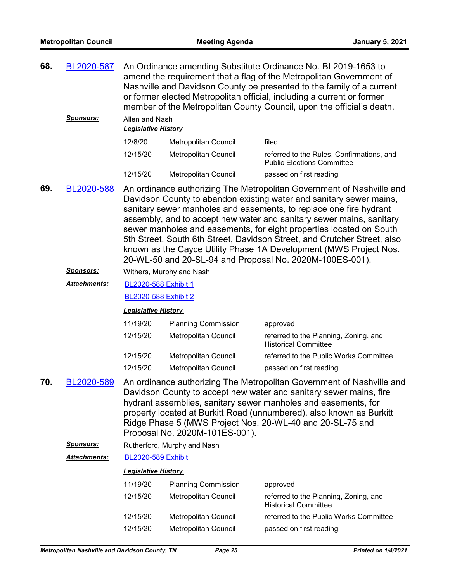| 68.                                                                                     | BL2020-587       | An Ordinance amending Substitute Ordinance No. BL2019-1653 to<br>amend the requirement that a flag of the Metropolitan Government of<br>Nashville and Davidson County be presented to the family of a current<br>or former elected Metropolitan official, including a current or former<br>member of the Metropolitan County Council, upon the official's death.                                                                                                                                         |                             |                                                                                |
|-----------------------------------------------------------------------------------------|------------------|----------------------------------------------------------------------------------------------------------------------------------------------------------------------------------------------------------------------------------------------------------------------------------------------------------------------------------------------------------------------------------------------------------------------------------------------------------------------------------------------------------|-----------------------------|--------------------------------------------------------------------------------|
|                                                                                         | <u>Sponsors:</u> | Allen and Nash<br><b>Legislative History</b>                                                                                                                                                                                                                                                                                                                                                                                                                                                             |                             |                                                                                |
|                                                                                         |                  | 12/8/20                                                                                                                                                                                                                                                                                                                                                                                                                                                                                                  | Metropolitan Council        | filed                                                                          |
|                                                                                         |                  | 12/15/20                                                                                                                                                                                                                                                                                                                                                                                                                                                                                                 | Metropolitan Council        | referred to the Rules, Confirmations, and<br><b>Public Elections Committee</b> |
|                                                                                         |                  | 12/15/20                                                                                                                                                                                                                                                                                                                                                                                                                                                                                                 | Metropolitan Council        | passed on first reading                                                        |
| 69.<br>BL2020-588<br>sanitary sewer manholes and easements, to replace one fire hydrant |                  | An ordinance authorizing The Metropolitan Government of Nashville and<br>Davidson County to abandon existing water and sanitary sewer mains,<br>assembly, and to accept new water and sanitary sewer mains, sanitary<br>sewer manholes and easements, for eight properties located on South<br>5th Street, South 6th Street, Davidson Street, and Crutcher Street, also<br>known as the Cayce Utility Phase 1A Development (MWS Project Nos.<br>20-WL-50 and 20-SL-94 and Proposal No. 2020M-100ES-001). |                             |                                                                                |
|                                                                                         | <b>Sponsors:</b> |                                                                                                                                                                                                                                                                                                                                                                                                                                                                                                          | Withers, Murphy and Nash    |                                                                                |
|                                                                                         | Attachments:     | BL2020-588 Exhibit 1                                                                                                                                                                                                                                                                                                                                                                                                                                                                                     |                             |                                                                                |
|                                                                                         |                  | <b>BL2020-588 Exhibit 2</b>                                                                                                                                                                                                                                                                                                                                                                                                                                                                              |                             |                                                                                |
|                                                                                         |                  | <b>Legislative History</b>                                                                                                                                                                                                                                                                                                                                                                                                                                                                               |                             |                                                                                |
|                                                                                         |                  | 11/19/20                                                                                                                                                                                                                                                                                                                                                                                                                                                                                                 | <b>Planning Commission</b>  | approved                                                                       |
|                                                                                         |                  | 12/15/20                                                                                                                                                                                                                                                                                                                                                                                                                                                                                                 | Metropolitan Council        | referred to the Planning, Zoning, and<br><b>Historical Committee</b>           |
|                                                                                         |                  | 12/15/20                                                                                                                                                                                                                                                                                                                                                                                                                                                                                                 | Metropolitan Council        | referred to the Public Works Committee                                         |
|                                                                                         |                  | 12/15/20                                                                                                                                                                                                                                                                                                                                                                                                                                                                                                 | Metropolitan Council        | passed on first reading                                                        |
| 70.                                                                                     | BL2020-589       | An ordinance authorizing The Metropolitan Government of Nashville and<br>Davidson County to accept new water and sanitary sewer mains, fire<br>hydrant assemblies, sanitary sewer manholes and easements, for<br>property located at Burkitt Road (unnumbered), also known as Burkitt<br>Ridge Phase 5 (MWS Project Nos. 20-WL-40 and 20-SL-75 and<br>Proposal No. 2020M-101ES-001).                                                                                                                     |                             |                                                                                |
|                                                                                         | <b>Sponsors:</b> |                                                                                                                                                                                                                                                                                                                                                                                                                                                                                                          | Rutherford, Murphy and Nash |                                                                                |
|                                                                                         | Attachments:     | <b>BL2020-589 Exhibit</b>                                                                                                                                                                                                                                                                                                                                                                                                                                                                                |                             |                                                                                |
|                                                                                         |                  | <b>Legislative History</b>                                                                                                                                                                                                                                                                                                                                                                                                                                                                               |                             |                                                                                |
|                                                                                         |                  | 11/19/20                                                                                                                                                                                                                                                                                                                                                                                                                                                                                                 | <b>Planning Commission</b>  | approved                                                                       |
|                                                                                         |                  | 12/15/20                                                                                                                                                                                                                                                                                                                                                                                                                                                                                                 | Metropolitan Council        | referred to the Planning, Zoning, and<br><b>Historical Committee</b>           |
|                                                                                         |                  | 12/15/20                                                                                                                                                                                                                                                                                                                                                                                                                                                                                                 | Metropolitan Council        | referred to the Public Works Committee                                         |
|                                                                                         |                  | 12/15/20                                                                                                                                                                                                                                                                                                                                                                                                                                                                                                 | Metropolitan Council        | passed on first reading                                                        |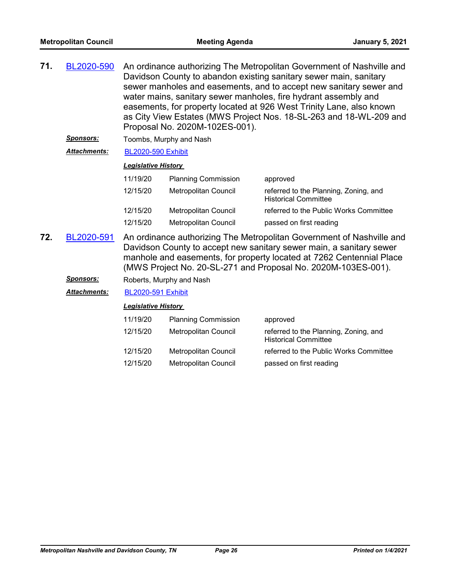| 71. | BL2020-590       | An ordinance authorizing The Metropolitan Government of Nashville and<br>Davidson County to abandon existing sanitary sewer main, sanitary<br>sewer manholes and easements, and to accept new sanitary sewer and<br>water mains, sanitary sewer manholes, fire hydrant assembly and<br>easements, for property located at 926 West Trinity Lane, also known<br>as City View Estates (MWS Project Nos. 18-SL-263 and 18-WL-209 and<br>Proposal No. 2020M-102ES-001). |                            |                                                                      |  |
|-----|------------------|---------------------------------------------------------------------------------------------------------------------------------------------------------------------------------------------------------------------------------------------------------------------------------------------------------------------------------------------------------------------------------------------------------------------------------------------------------------------|----------------------------|----------------------------------------------------------------------|--|
|     | <u>Sponsors:</u> | Toombs, Murphy and Nash<br><b>BL2020-590 Exhibit</b><br><b>Legislative History</b>                                                                                                                                                                                                                                                                                                                                                                                  |                            |                                                                      |  |
|     | Attachments:     |                                                                                                                                                                                                                                                                                                                                                                                                                                                                     |                            |                                                                      |  |
|     |                  |                                                                                                                                                                                                                                                                                                                                                                                                                                                                     |                            |                                                                      |  |
|     |                  | 11/19/20                                                                                                                                                                                                                                                                                                                                                                                                                                                            | <b>Planning Commission</b> | approved                                                             |  |
|     |                  | 12/15/20                                                                                                                                                                                                                                                                                                                                                                                                                                                            | Metropolitan Council       | referred to the Planning, Zoning, and<br><b>Historical Committee</b> |  |
|     |                  | 12/15/20                                                                                                                                                                                                                                                                                                                                                                                                                                                            | Metropolitan Council       | referred to the Public Works Committee                               |  |
|     |                  | 12/15/20                                                                                                                                                                                                                                                                                                                                                                                                                                                            | Metropolitan Council       | passed on first reading                                              |  |
| 72. | BL2020-591       | An ordinance authorizing The Metropolitan Government of Nashville and<br>Davidson County to accept new sanitary sewer main, a sanitary sewer<br>manhole and easements, for property located at 7262 Centennial Place<br>(MWS Project No. 20-SL-271 and Proposal No. 2020M-103ES-001).                                                                                                                                                                               |                            |                                                                      |  |

**Sponsors:** Roberts, Murphy and Nash

*Attachments:* [BL2020-591 Exhibit](http://nashville.legistar.com/gateway.aspx?M=F&ID=c369cf1a-54e1-47e4-9a48-156ec59668c3.PDF)

| 11/19/20 | <b>Planning Commission</b>  | approved                                                             |
|----------|-----------------------------|----------------------------------------------------------------------|
| 12/15/20 | Metropolitan Council        | referred to the Planning, Zoning, and<br><b>Historical Committee</b> |
| 12/15/20 | Metropolitan Council        | referred to the Public Works Committee                               |
| 12/15/20 | <b>Metropolitan Council</b> | passed on first reading                                              |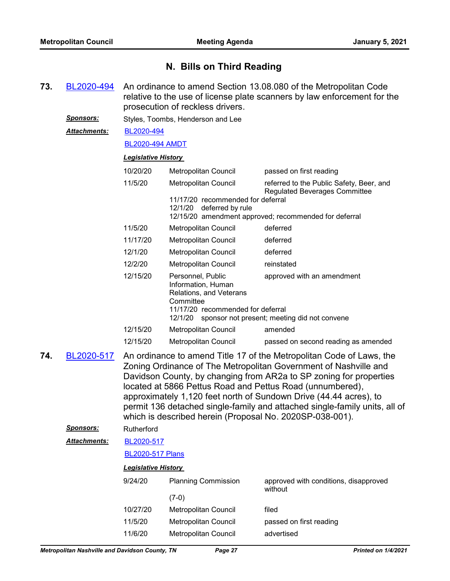## **N. Bills on Third Reading**

An ordinance to amend Section 13.08.080 of the Metropolitan Code relative to the use of license plate scanners by law enforcement for the prosecution of reckless drivers. **73.** [BL2020-494](http://nashville.legistar.com/gateway.aspx?m=l&id=/matter.aspx?key=1518) *Sponsors:* Styles, Toombs, Henderson and Lee [BL2020-494](http://nashville.legistar.com/gateway.aspx?M=F&ID=578165bb-1e69-4ec8-8e98-d01f1c914cfd.pdf) [BL2020-494 AMDT](http://nashville.legistar.com/gateway.aspx?M=F&ID=5eaea943-2da2-4cbe-9fea-ec90355fecb3.docx) *Attachments: Legislative History*  10/20/20 Metropolitan Council passed on first reading 11/5/20 Metropolitan Council referred to the Public Safety, Beer, and Regulated Beverages Committee 11/17/20 recommended for deferral 12/1/20 deferred by rule 12/15/20 amendment approved; recommended for deferral 11/5/20 Metropolitan Council deferred 11/17/20 Metropolitan Council deferred 12/1/20 Metropolitan Council deferred 12/2/20 Metropolitan Council reinstated 12/15/20 Personnel, Public Information, Human Relations, and Veterans **Committee** approved with an amendment 11/17/20 recommended for deferral 12/1/20 sponsor not present; meeting did not convene 12/15/20 Metropolitan Council amended 12/15/20 Metropolitan Council passed on second reading as amended An ordinance to amend Title 17 of the Metropolitan Code of Laws, the Zoning Ordinance of The Metropolitan Government of Nashville and Davidson County, by changing from AR2a to SP zoning for properties located at 5866 Pettus Road and Pettus Road (unnumbered), approximately 1,120 feet north of Sundown Drive (44.44 acres), to permit 136 detached single-family and attached single-family units, all of which is described herein (Proposal No. 2020SP-038-001). **74.** [BL2020-517](http://nashville.legistar.com/gateway.aspx?m=l&id=/matter.aspx?key=1567) *Sponsors:* Rutherford [BL2020-517](http://nashville.legistar.com/gateway.aspx?M=F&ID=a0ecd73a-bb8a-4a20-b7a8-464001357ac2.pdf) [BL2020-517 Plans](http://nashville.legistar.com/gateway.aspx?M=F&ID=7507ebbb-3a26-4fe3-bb79-7c062cd09bdb.pdf) *Attachments: Legislative History*  9/24/20 Planning Commission approved with conditions, disapproved without (7-0) 10/27/20 Metropolitan Council filed 11/5/20 Metropolitan Council passed on first reading

11/6/20 Metropolitan Council advertised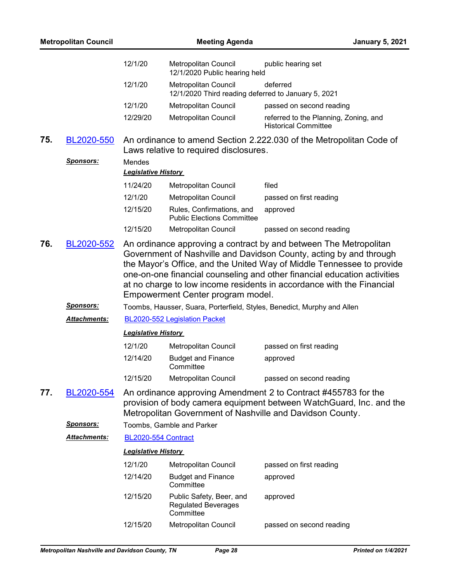| <b>Metropolitan Council</b> |                         |                            | <b>Meeting Agenda</b>                                                                                                                                                                                                                                                                                                                 |                                                                      | <b>January 5, 2021</b> |
|-----------------------------|-------------------------|----------------------------|---------------------------------------------------------------------------------------------------------------------------------------------------------------------------------------------------------------------------------------------------------------------------------------------------------------------------------------|----------------------------------------------------------------------|------------------------|
|                             |                         | 12/1/20                    | Metropolitan Council<br>12/1/2020 Public hearing held                                                                                                                                                                                                                                                                                 | public hearing set                                                   |                        |
|                             |                         | 12/1/20                    | Metropolitan Council<br>12/1/2020 Third reading deferred to January 5, 2021                                                                                                                                                                                                                                                           | deferred                                                             |                        |
|                             |                         | 12/1/20                    | Metropolitan Council                                                                                                                                                                                                                                                                                                                  | passed on second reading                                             |                        |
|                             |                         | 12/29/20                   | Metropolitan Council                                                                                                                                                                                                                                                                                                                  | referred to the Planning, Zoning, and<br><b>Historical Committee</b> |                        |
| 75.                         | BL2020-550              |                            | An ordinance to amend Section 2.222.030 of the Metropolitan Code of<br>Laws relative to required disclosures.                                                                                                                                                                                                                         |                                                                      |                        |
|                             | <u>Sponsors:</u>        | Mendes                     |                                                                                                                                                                                                                                                                                                                                       |                                                                      |                        |
|                             |                         | <b>Legislative History</b> |                                                                                                                                                                                                                                                                                                                                       |                                                                      |                        |
|                             |                         | 11/24/20                   | Metropolitan Council                                                                                                                                                                                                                                                                                                                  | filed                                                                |                        |
|                             |                         | 12/1/20                    | Metropolitan Council                                                                                                                                                                                                                                                                                                                  | passed on first reading                                              |                        |
|                             |                         | 12/15/20                   | Rules, Confirmations, and<br><b>Public Elections Committee</b>                                                                                                                                                                                                                                                                        | approved                                                             |                        |
|                             |                         | 12/15/20                   | Metropolitan Council                                                                                                                                                                                                                                                                                                                  | passed on second reading                                             |                        |
|                             |                         |                            | Government of Nashville and Davidson County, acting by and through<br>the Mayor's Office, and the United Way of Middle Tennessee to provide<br>one-on-one financial counseling and other financial education activities<br>at no charge to low income residents in accordance with the Financial<br>Empowerment Center program model. |                                                                      |                        |
|                             | <b>Sponsors:</b>        |                            | Toombs, Hausser, Suara, Porterfield, Styles, Benedict, Murphy and Allen                                                                                                                                                                                                                                                               |                                                                      |                        |
|                             | Attachments:            |                            | BL2020-552 Legislation Packet                                                                                                                                                                                                                                                                                                         |                                                                      |                        |
|                             |                         | <b>Legislative History</b> |                                                                                                                                                                                                                                                                                                                                       |                                                                      |                        |
|                             |                         | 12/1/20                    | Metropolitan Council                                                                                                                                                                                                                                                                                                                  | passed on first reading                                              |                        |
|                             |                         | 12/14/20                   | <b>Budget and Finance</b><br>Committee                                                                                                                                                                                                                                                                                                | approved                                                             |                        |
|                             |                         | 12/15/20                   | <b>Metropolitan Council</b>                                                                                                                                                                                                                                                                                                           | passed on second reading                                             |                        |
| 77.                         | BL2020-554<br>Sponsors: |                            | An ordinance approving Amendment 2 to Contract #455783 for the<br>provision of body camera equipment between WatchGuard, Inc. and the<br>Metropolitan Government of Nashville and Davidson County.<br>Toombs, Gamble and Parker                                                                                                       |                                                                      |                        |
|                             | <u> Attachments:</u>    | BL2020-554 Contract        |                                                                                                                                                                                                                                                                                                                                       |                                                                      |                        |
|                             |                         | <b>Legislative History</b> |                                                                                                                                                                                                                                                                                                                                       |                                                                      |                        |
|                             |                         | 12/1/20                    | Metropolitan Council                                                                                                                                                                                                                                                                                                                  | passed on first reading                                              |                        |
|                             |                         | 12/14/20                   | <b>Budget and Finance</b><br>Committee                                                                                                                                                                                                                                                                                                | approved                                                             |                        |
|                             |                         | 12/15/20                   | Public Safety, Beer, and<br><b>Regulated Beverages</b><br>Committee                                                                                                                                                                                                                                                                   | approved                                                             |                        |
|                             |                         | 12/15/20                   | Metropolitan Council                                                                                                                                                                                                                                                                                                                  | passed on second reading                                             |                        |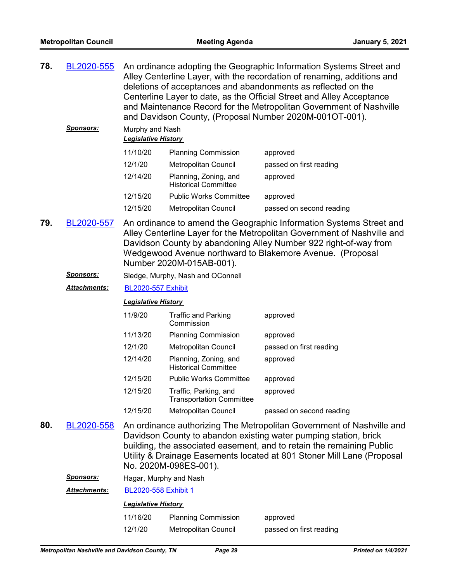| 78. | BL2020-555 | An ordinance adopting the Geographic Information Systems Street and<br>Alley Centerline Layer, with the recordation of renaming, additions and<br>deletions of acceptances and abandonments as reflected on the<br>Centerline Layer to date, as the Official Street and Alley Acceptance<br>and Maintenance Record for the Metropolitan Government of Nashville<br>and Davidson County, (Proposal Number 2020M-001OT-001). |
|-----|------------|----------------------------------------------------------------------------------------------------------------------------------------------------------------------------------------------------------------------------------------------------------------------------------------------------------------------------------------------------------------------------------------------------------------------------|
|     |            |                                                                                                                                                                                                                                                                                                                                                                                                                            |

*Sponsors:* Murphy and Nash *Legislative History* 

| 11/10/20 | <b>Planning Commission</b>                           | approved                 |
|----------|------------------------------------------------------|--------------------------|
| 12/1/20  | <b>Metropolitan Council</b>                          | passed on first reading  |
| 12/14/20 | Planning, Zoning, and<br><b>Historical Committee</b> | approved                 |
| 12/15/20 | <b>Public Works Committee</b>                        | approved                 |
| 12/15/20 | Metropolitan Council                                 | passed on second reading |

- An ordinance to amend the Geographic Information Systems Street and Alley Centerline Layer for the Metropolitan Government of Nashville and Davidson County by abandoning Alley Number 922 right-of-way from Wedgewood Avenue northward to Blakemore Avenue. (Proposal Number 2020M-015AB-001). **79.** [BL2020-557](http://nashville.legistar.com/gateway.aspx?m=l&id=/matter.aspx?key=1689)
	- *Sponsors:* Sledge, Murphy, Nash and OConnell
	- *Attachments:* [BL2020-557 Exhibit](http://nashville.legistar.com/gateway.aspx?M=F&ID=b574b87c-81fd-4f2d-8585-1ad1a1611c79.pdf)

#### *Legislative History*

| 11/9/20  | <b>Traffic and Parking</b><br>Commission                 | approved                 |
|----------|----------------------------------------------------------|--------------------------|
| 11/13/20 | <b>Planning Commission</b>                               | approved                 |
| 12/1/20  | <b>Metropolitan Council</b>                              | passed on first reading  |
| 12/14/20 | Planning, Zoning, and<br><b>Historical Committee</b>     | approved                 |
| 12/15/20 | <b>Public Works Committee</b>                            | approved                 |
| 12/15/20 | Traffic, Parking, and<br><b>Transportation Committee</b> | approved                 |
| 12/15/20 | Metropolitan Council                                     | passed on second reading |

- An ordinance authorizing The Metropolitan Government of Nashville and Davidson County to abandon existing water pumping station, brick building, the associated easement, and to retain the remaining Public Utility & Drainage Easements located at 801 Stoner Mill Lane (Proposal No. 2020M-098ES-001). **80.** [BL2020-558](http://nashville.legistar.com/gateway.aspx?m=l&id=/matter.aspx?key=1666)
	- *Sponsors:* Hagar, Murphy and Nash

*Attachments:* [BL2020-558 Exhibit 1](http://nashville.legistar.com/gateway.aspx?M=F&ID=b2f2c49c-c585-4d1e-941d-9a8d877ff6b0.PDF)

| 11/16/20 | <b>Planning Commission</b> | approved                |
|----------|----------------------------|-------------------------|
| 12/1/20  | Metropolitan Council       | passed on first reading |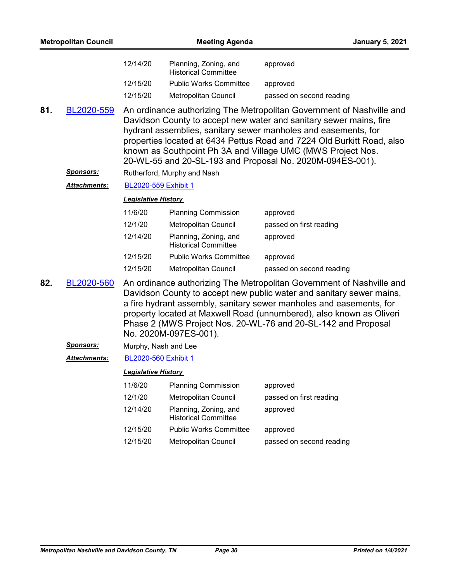|     | <b>Metropolitan Council</b>    |                                                                                                                                                                                                                                                                                                                                                                                                                     | <b>Meeting Agenda</b>                                | <b>January 5, 2021</b>   |
|-----|--------------------------------|---------------------------------------------------------------------------------------------------------------------------------------------------------------------------------------------------------------------------------------------------------------------------------------------------------------------------------------------------------------------------------------------------------------------|------------------------------------------------------|--------------------------|
|     |                                | 12/14/20                                                                                                                                                                                                                                                                                                                                                                                                            | Planning, Zoning, and<br><b>Historical Committee</b> | approved                 |
|     |                                | 12/15/20                                                                                                                                                                                                                                                                                                                                                                                                            | <b>Public Works Committee</b>                        | approved                 |
|     |                                | 12/15/20                                                                                                                                                                                                                                                                                                                                                                                                            | Metropolitan Council                                 | passed on second reading |
| 81. | BL2020-559<br><u>Sponsors:</u> | An ordinance authorizing The Metropolitan Government of Nashville and<br>Davidson County to accept new water and sanitary sewer mains, fire<br>hydrant assemblies, sanitary sewer manholes and easements, for<br>properties located at 6434 Pettus Road and 7224 Old Burkitt Road, also<br>known as Southpoint Ph 3A and Village UMC (MWS Project Nos.<br>20-WL-55 and 20-SL-193 and Proposal No. 2020M-094ES-001). |                                                      |                          |
|     | Attachments:                   | BL2020-559 Exhibit 1                                                                                                                                                                                                                                                                                                                                                                                                | Rutherford, Murphy and Nash                          |                          |
|     |                                | <b>Legislative History</b>                                                                                                                                                                                                                                                                                                                                                                                          |                                                      |                          |
|     |                                | 11/6/20                                                                                                                                                                                                                                                                                                                                                                                                             | <b>Planning Commission</b>                           | approved                 |
|     |                                | 12/1/20                                                                                                                                                                                                                                                                                                                                                                                                             | Metropolitan Council                                 | passed on first reading  |
|     |                                | 12/14/20                                                                                                                                                                                                                                                                                                                                                                                                            | Planning, Zoning, and<br><b>Historical Committee</b> | approved                 |
|     |                                | 12/15/20                                                                                                                                                                                                                                                                                                                                                                                                            | <b>Public Works Committee</b>                        | approved                 |
|     |                                | 12/15/20                                                                                                                                                                                                                                                                                                                                                                                                            | Metropolitan Council                                 | passed on second reading |
| 82. | BL2020-560                     | An ordinance authorizing The Metropolitan Government of Nashville and<br>Davidson County to accept new public water and sanitary sewer mains,<br>a fire hydrant assembly, sanitary sewer manholes and easements, for<br>property located at Maxwell Road (unnumbered), also known as Oliveri<br>Phase 2 (MWS Project Nos. 20-WL-76 and 20-SL-142 and Proposal<br>No. 2020M-097ES-001).                              |                                                      |                          |
|     | <u>Sponsors:</u>               | Murphy, Nash and Lee                                                                                                                                                                                                                                                                                                                                                                                                |                                                      |                          |
|     | <b>Attachments:</b>            | BL2020-560 Exhibit 1                                                                                                                                                                                                                                                                                                                                                                                                |                                                      |                          |
|     |                                | <b>Legislative History</b>                                                                                                                                                                                                                                                                                                                                                                                          |                                                      |                          |
|     |                                | 11/6/20                                                                                                                                                                                                                                                                                                                                                                                                             | <b>Planning Commission</b>                           | approved                 |
|     |                                | 12/1/20                                                                                                                                                                                                                                                                                                                                                                                                             | Metropolitan Council                                 | passed on first reading  |
|     |                                | 12/14/20                                                                                                                                                                                                                                                                                                                                                                                                            | Planning, Zoning, and<br><b>Historical Committee</b> | approved                 |
|     |                                | 12/15/20                                                                                                                                                                                                                                                                                                                                                                                                            | <b>Public Works Committee</b>                        | approved                 |
|     |                                | 12/15/20                                                                                                                                                                                                                                                                                                                                                                                                            | Metropolitan Council                                 | passed on second reading |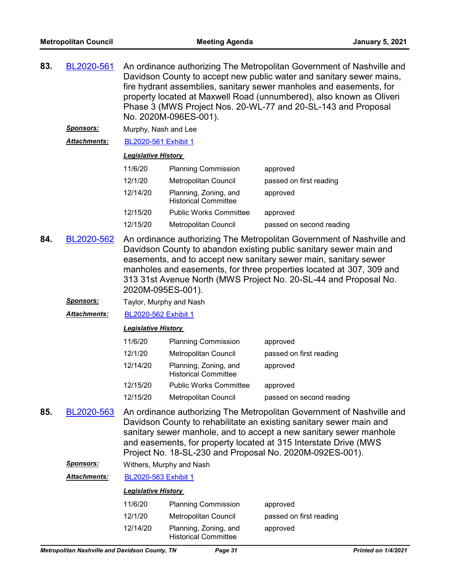| 83. | BL2020-561 | An ordinance authorizing The Metropolitan Government of Nashville and |
|-----|------------|-----------------------------------------------------------------------|
|     |            | Davidson County to accept new public water and sanitary sewer mains,  |
|     |            | fire hydrant assemblies, sanitary sewer manholes and easements, for   |
|     |            | property located at Maxwell Road (unnumbered), also known as Oliveri  |
|     |            | Phase 3 (MWS Project Nos. 20-WL-77 and 20-SL-143 and Proposal         |
|     |            | No. 2020M-096ES-001).                                                 |

*Sponsors:* Murphy, Nash and Lee

*Attachments:* [BL2020-561 Exhibit 1](http://nashville.legistar.com/gateway.aspx?M=F&ID=507de127-6f64-43c4-a597-d90a3d10a9f3.PDF)

#### *Legislative History*

| 11/6/20  | <b>Planning Commission</b>                           | approved                 |
|----------|------------------------------------------------------|--------------------------|
| 12/1/20  | <b>Metropolitan Council</b>                          | passed on first reading  |
| 12/14/20 | Planning, Zoning, and<br><b>Historical Committee</b> | approved                 |
| 12/15/20 | <b>Public Works Committee</b>                        | approved                 |
| 12/15/20 | <b>Metropolitan Council</b>                          | passed on second reading |
|          |                                                      |                          |

- An ordinance authorizing The Metropolitan Government of Nashville and Davidson County to abandon existing public sanitary sewer main and easements, and to accept new sanitary sewer main, sanitary sewer manholes and easements, for three properties located at 307, 309 and 313 31st Avenue North (MWS Project No. 20-SL-44 and Proposal No. 2020M-095ES-001). **84.** [BL2020-562](http://nashville.legistar.com/gateway.aspx?m=l&id=/matter.aspx?key=1663)
	- *Sponsors:* Taylor, Murphy and Nash

*Attachments:* [BL2020-562 Exhibit 1](http://nashville.legistar.com/gateway.aspx?M=F&ID=8cc2daf2-63c8-4c3c-aa9a-d78e606d0d01.PDF)

#### *Legislative History*

| 11/6/20  | <b>Planning Commission</b>                           | approved                 |
|----------|------------------------------------------------------|--------------------------|
| 12/1/20  | Metropolitan Council                                 | passed on first reading  |
| 12/14/20 | Planning, Zoning, and<br><b>Historical Committee</b> | approved                 |
| 12/15/20 | <b>Public Works Committee</b>                        | approved                 |
| 12/15/20 | Metropolitan Council                                 | passed on second reading |

An ordinance authorizing The Metropolitan Government of Nashville and Davidson County to rehabilitate an existing sanitary sewer main and sanitary sewer manhole, and to accept a new sanitary sewer manhole and easements, for property located at 315 Interstate Drive (MWS Project No. 18-SL-230 and Proposal No. 2020M-092ES-001). **85.** [BL2020-563](http://nashville.legistar.com/gateway.aspx?m=l&id=/matter.aspx?key=1665)

*Sponsors:* Withers, Murphy and Nash

*Attachments:* [BL2020-563 Exhibit 1](http://nashville.legistar.com/gateway.aspx?M=F&ID=af9bcfe0-0bb5-4461-8942-ee6a1dd90c5b.PDF)

| 11/6/20  | <b>Planning Commission</b>                           | approved                |
|----------|------------------------------------------------------|-------------------------|
| 12/1/20  | Metropolitan Council                                 | passed on first reading |
| 12/14/20 | Planning, Zoning, and<br><b>Historical Committee</b> | approved                |